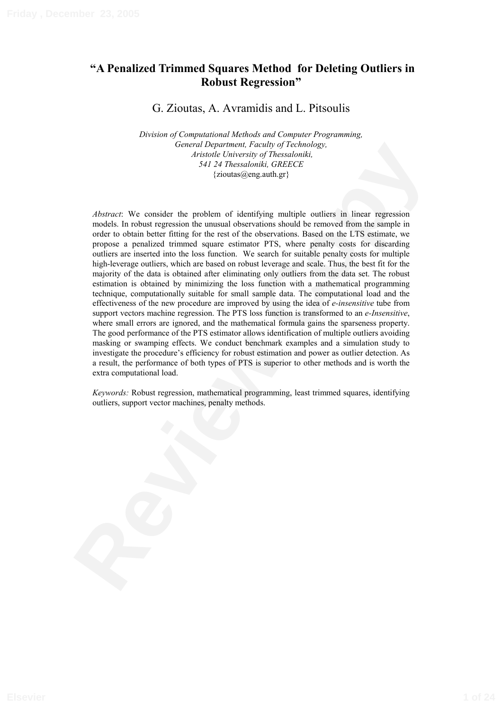# **"A Penalized Trimmed Squares Method for Deleting Outliers in Robust Regression"**

G. Zioutas, A. Avramidis and L. Pitsoulis

*Division of Computational Methods and Computer Programming, General Department, Faculty of Technology, Aristotle University of Thessaloniki, 541 24 Thessaloniki, GREECE*  {zioutas@eng.auth.gr}

**CHECAL CONSULTS (CHECAL CONSULTS)** (CHECAL CONSULTS) (CHECAL CONSULTS) (The CONSULTS) (The CONSULTS) (CHECAL CONSULTS) (CHECAL CONSULTS) (CHECAL CONSULTS) (CHECAL CONSULTS) (CHECAL CONSULTS) (CHECAL CONSULTS) (CHECAL CONS *Abstract*: We consider the problem of identifying multiple outliers in linear regression models. In robust regression the unusual observations should be removed from the sample in order to obtain better fitting for the rest of the observations. Based on the LTS estimate, we propose a penalized trimmed square estimator PTS, where penalty costs for discarding outliers are inserted into the loss function. We search for suitable penalty costs for multiple high-leverage outliers, which are based on robust leverage and scale. Thus, the best fit for the majority of the data is obtained after eliminating only outliers from the data set. The robust estimation is obtained by minimizing the loss function with a mathematical programming technique, computationally suitable for small sample data. The computational load and the effectiveness of the new procedure are improved by using the idea of *e-insensitive* tube from support vectors machine regression. The PTS loss function is transformed to an *e-Insensitive*, where small errors are ignored, and the mathematical formula gains the sparseness property. The good performance of the PTS estimator allows identification of multiple outliers avoiding masking or swamping effects. We conduct benchmark examples and a simulation study to investigate the procedure's efficiency for robust estimation and power as outlier detection. As a result, the performance of both types of PTS is superior to other methods and is worth the extra computational load.

*Keywords:* Robust regression, mathematical programming, least trimmed squares, identifying outliers, support vector machines, penalty methods.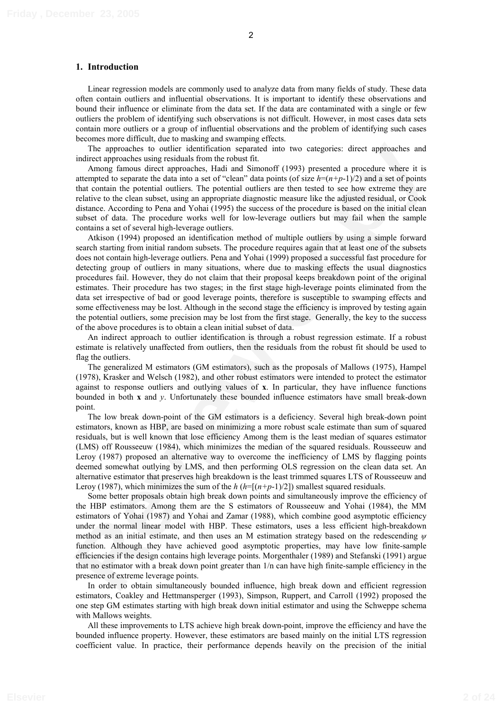### **1. Introduction**

Linear regression models are commonly used to analyze data from many fields of study. These data often contain outliers and influential observations. It is important to identify these observations and bound their influence or eliminate from the data set. If the data are contaminated with a single or few outliers the problem of identifying such observations is not difficult. However, in most cases data sets contain more outliers or a group of influential observations and the problem of identifying such cases becomes more difficult, due to masking and swamping effects.

The approaches to outlier identification separated into two categories: direct approaches and indirect approaches using residuals from the robust fit.

Among famous direct approaches, Hadi and Simonoff (1993) presented a procedure where it is attempted to separate the data into a set of "clean" data points (of size  $h=(n+p-1)/2$ ) and a set of points that contain the potential outliers. The potential outliers are then tested to see how extreme they are relative to the clean subset, using an appropriate diagnostic measure like the adjusted residual, or Cook distance. According to Pena and Yohai (1995) the success of the procedure is based on the initial clean subset of data. The procedure works well for low-leverage outliers but may fail when the sample contains a set of several high-leverage outliers.

The approaches to outlier identification separate into two categories dreed approaches and a<br>induced approaches soing residuals found te robas fit.<br>Among famous direct approaches and saturated approaches plating and Simon Atkison (1994) proposed an identification method of multiple outliers by using a simple forward search starting from initial random subsets. The procedure requires again that at least one of the subsets does not contain high-leverage outliers. Pena and Yohai (1999) proposed a successful fast procedure for detecting group of outliers in many situations, where due to masking effects the usual diagnostics procedures fail. However, they do not claim that their proposal keeps breakdown point of the original estimates. Their procedure has two stages; in the first stage high-leverage points eliminated from the data set irrespective of bad or good leverage points, therefore is susceptible to swamping effects and some effectiveness may be lost. Although in the second stage the efficiency is improved by testing again the potential outliers, some precision may be lost from the first stage. Generally, the key to the success of the above procedures is to obtain a clean initial subset of data.

An indirect approach to outlier identification is through a robust regression estimate. If a robust estimate is relatively unaffected from outliers, then the residuals from the robust fit should be used to flag the outliers.

The generalized M estimators (GM estimators), such as the proposals of Mallows (1975), Hampel (1978), Krasker and Welsch (1982), and other robust estimators were intended to protect the estimator against to response outliers and outlying values of **x**. In particular, they have influence functions bounded in both **x** and *y*. Unfortunately these bounded influence estimators have small break-down point.

The low break down-point of the GM estimators is a deficiency. Several high break-down point estimators, known as HBP, are based on minimizing a more robust scale estimate than sum of squared residuals, but is well known that lose efficiency Among them is the least median of squares estimator (LMS) off Rousseeuw (1984), which minimizes the median of the squared residuals. Rousseeuw and Leroy (1987) proposed an alternative way to overcome the inefficiency of LMS by flagging points deemed somewhat outlying by LMS, and then performing OLS regression on the clean data set. An alternative estimator that preserves high breakdown is the least trimmed squares LTS of Rousseeuw and Leroy (1987), which minimizes the sum of the  $h(h=[(n+p-1)/2])$  smallest squared residuals.

Some better proposals obtain high break down points and simultaneously improve the efficiency of the HBP estimators. Among them are the S estimators of Rousseeuw and Yohai (1984), the MM estimators of Yohai (1987) and Yohai and Zamar (1988), which combine good asymptotic efficiency under the normal linear model with HBP. These estimators, uses a less efficient high-breakdown method as an initial estimate, and then uses an M estimation strategy based on the redescending  $\psi$ function. Although they have achieved good asymptotic properties, may have low finite-sample efficiencies if the design contains high leverage points. Morgenthaler (1989) and Stefanski (1991) argue that no estimator with a break down point greater than 1/n can have high finite-sample efficiency in the presence of extreme leverage points.

In order to obtain simultaneously bounded influence, high break down and efficient regression estimators, Coakley and Hettmansperger (1993), Simpson, Ruppert, and Carroll (1992) proposed the one step GM estimates starting with high break down initial estimator and using the Schweppe schema with Mallows weights.

All these improvements to LTS achieve high break down-point, improve the efficiency and have the bounded influence property. However, these estimators are based mainly on the initial LTS regression coefficient value. In practice, their performance depends heavily on the precision of the initial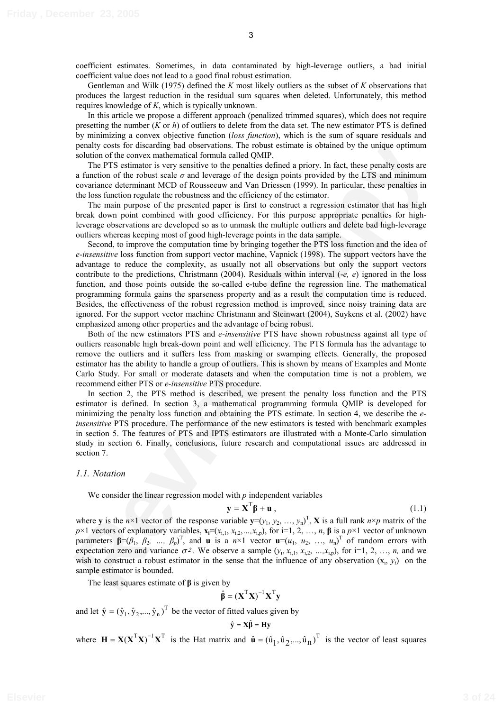Gentleman and Wilk (1975) defined the *K* most likely outliers as the subset of *K* observations that produces the largest reduction in the residual sum squares when deleted. Unfortunately, this method requires knowledge of *K*, which is typically unknown.

In this article we propose a different approach (penalized trimmed squares), which does not require presetting the number  $(K \text{ or } h)$  of outliers to delete from the data set. The new estimator PTS is defined by minimizing a convex objective function (*loss function*), which is the sum of square residuals and penalty costs for discarding bad observations. The robust estimate is obtained by the unique optimum solution of the convex mathematical formula called QMIP.

The PTS estimator is very sensitive to the penalties defined a priory. In fact, these penalty costs are a function of the robust scale  $\sigma$  and leverage of the design points provided by the LTS and minimum covariance determinant MCD of Rousseeuw and Van Driessen (1999). In particular, these penalties in the loss function regulate the robustness and the efficiency of the estimator.

The main purpose of the presented paper is first to construct a regression estimator that has high break down point combined with good efficiency. For this purpose appropriate penalties for highleverage observations are developed so as to unmask the multiple outliers and delete bad high-leverage outliers whereas keeping most of good high-leverage points in the data sample.

penaly costs for disserting that observations. The robust estimate is obtained by the unique opernum<br>solution of file convex malternational formula called QMIP.<br>
The PTS summarized is the absorption to the penaline added Second, to improve the computation time by bringing together the PTS loss function and the idea of *e-insensitive* loss function from support vector machine, Vapnick (1998). The support vectors have the advantage to reduce the complexity, as usually not all observations but only the support vectors contribute to the predictions, Christmann (2004). Residuals within interval (-*e, e*) ignored in the loss function, and those points outside the so-called e-tube define the regression line. The mathematical programming formula gains the sparseness property and as a result the computation time is reduced. Besides, the effectiveness of the robust regression method is improved, since noisy training data are ignored. For the support vector machine Christmann and Steinwart (2004), Suykens et al. (2002) have emphasized among other properties and the advantage of being robust.

Both of the new estimators PTS and *e-insensitive* PTS have shown robustness against all type of outliers reasonable high break-down point and well efficiency. The PTS formula has the advantage to remove the outliers and it suffers less from masking or swamping effects. Generally, the proposed estimator has the ability to handle a group of outliers. This is shown by means of Examples and Monte Carlo Study. For small or moderate datasets and when the computation time is not a problem, we recommend either PTS or *e-insensitive* PTS procedure.

In section 2, the PTS method is described, we present the penalty loss function and the PTS estimator is defined. In section 3, a mathematical programming formula QMIP is developed for minimizing the penalty loss function and obtaining the PTS estimate. In section 4, we describe the *einsensitive* PTS procedure. The performance of the new estimators is tested with benchmark examples in section 5. The features of PTS and IPTS estimators are illustrated with a Monte-Carlo simulation study in section 6. Finally, conclusions, future research and computational issues are addressed in section 7.

#### *1.1. Notation*

We consider the linear regression model with *p* independent variables

$$
\mathbf{y} = \mathbf{X}^{\mathrm{T}} \boldsymbol{\beta} + \mathbf{u} \,, \tag{1.1}
$$

where **y** is the  $n \times 1$  vector of the response variable  $y=(y_1, y_2, ..., y_n)^T$ , **X** is a full rank  $n \times p$  matrix of the  $p \times 1$  vectors of explanatory variables,  $\mathbf{x}_i = (x_{i,1}, x_{i,2},...,x_{i,p})$ , for  $i=1, 2, ..., n$ ,  $\beta$  is a  $p \times 1$  vector of unknown parameters  $\beta = (\beta_1, \beta_2, ..., \beta_p)^T$ , and **u** is a  $n \times 1$  vector  $\mathbf{u} = (u_1, u_2, ..., u_n)^T$  of random errors with expectation zero and variance  $\sigma^2$ . We observe a sample  $(y_i, x_{i,1}, x_{i,2}, ..., x_{i,p})$ , for i=1, 2, …, *n*, and we wish to construct a robust estimator in the sense that the influence of any observation  $(x_i, y_i)$  on the sample estimator is bounded.

The least squares estimate of  $\beta$  is given by

$$
\hat{\boldsymbol{\beta}} = (\mathbf{X}^T \mathbf{X})^{-1} \mathbf{X}^T \mathbf{y}
$$

and let  $\hat{\mathbf{y}} = (\hat{y}_1, \hat{y}_2, ..., \hat{y}_n)^T$  be the vector of fitted values given by

$$
\hat{\mathbf{y}} = \mathbf{X}\hat{\boldsymbol{\beta}} = \mathbf{H}\mathbf{y}
$$

where  $H = X(X^T X)^{-1} X^T$  is the Hat matrix and  $\hat{u} = (\hat{u}_1, \hat{u}_2, ..., \hat{u}_n)^T$  is the vector of least squares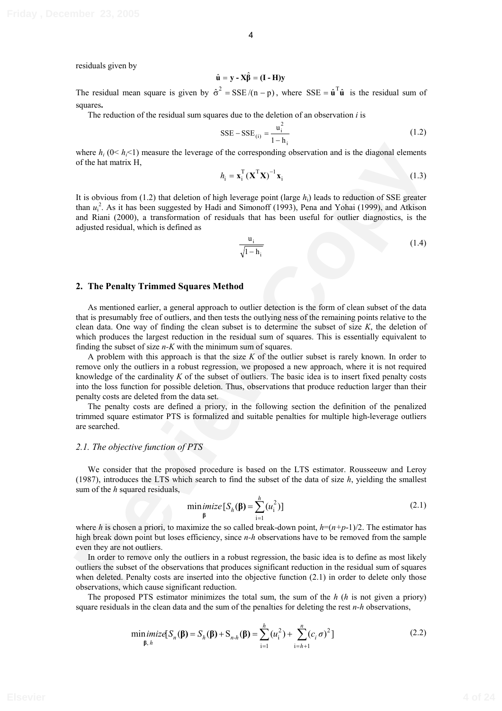4

residuals given by

$$
\hat{\mathbf{u}} = \mathbf{y} - \mathbf{X}\hat{\boldsymbol{\beta}} = (\mathbf{I} - \mathbf{H})\mathbf{y}
$$

The residual mean square is given by  $\hat{\sigma}^2 = \text{SSE}/(n-p)$ , where  $\text{SSE} = \hat{\mathbf{u}}^T \hat{\mathbf{u}}$  is the residual sum of squares**.**

The reduction of the residual sum squares due to the deletion of an observation *i* is

SSE – SSE<sub>(i)</sub> = 
$$
\frac{u_i^2}{1 - h_i}
$$
 (1.2)

where  $h_i$  ( $0 \leq h_i \leq 1$ ) measure the leverage of the corresponding observation and is the diagonal elements of the hat matrix H,

$$
h_{i} = \mathbf{x}_{i}^{T} (\mathbf{X}^{T} \mathbf{X})^{-1} \mathbf{x}_{i}
$$
 (1.3)

It is obvious from (1.2) that deletion of high leverage point (large *h*i) leads to reduction of SSE greater than  $u_i^2$ . As it has been suggested by Hadi and Simonoff (1993), Pena and Yohai (1999), and Atkison and Riani (2000), a transformation of residuals that has been useful for outlier diagnostics, is the adjusted residual, which is defined as

$$
\frac{u_i}{\sqrt{1-h_i}}\tag{1.4}
$$

#### **2. The Penalty Trimmed Squares Method**

As mentioned earlier, a general approach to outlier detection is the form of clean subset of the data that is presumably free of outliers, and then tests the outlying ness of the remaining points relative to the clean data. One way of finding the clean subset is to determine the subset of size *4*, the deletion of which produces the largest reduction in the residual sum of squares. This is essentially equivalent to finding the subset of size  $n-K$  with the minimum sum of squares.

where  $b_i$  (0- $k_i$ c)) measure the leverage of the corresponding observation and is the diagonal elements<br>of the tau matina II,<br>this dovious from (1.2) that delicion of high loverage point (large  $k_i$ ) leads to reduction o A problem with this approach is that the size *4* of the outlier subset is rarely known. In order to remove only the outliers in a robust regression, we proposed a new approach, where it is not required knowledge of the cardinality *4* of the subset of outliers. The basic idea is to insert fixed penalty costs into the loss function for possible deletion. Thus, observations that produce reduction larger than their penalty costs are deleted from the data set.

The penalty costs are defined a priory, in the following section the definition of the penalized trimmed square estimator PTS is formalized and suitable penalties for multiple high-leverage outliers are searched.

#### *2.1. The objective function of PTS*

We consider that the proposed procedure is based on the LTS estimator. Rousseeuw and Leroy (1987), introduces the LTS which search to find the subset of the data of size *h*, yielding the smallest sum of the *h* squared residuals,

$$
\min_{\beta} \text{imize} \left[ S_h(\beta) = \sum_{i=1}^h (u_i^2) \right] \tag{2.1}
$$

where *h* is chosen a priori, to maximize the so called break-down point,  $h=(n+p-1)/2$ . The estimator has high break down point but loses efficiency, since *n-h* observations have to be removed from the sample even they are not outliers.

In order to remove only the outliers in a robust regression, the basic idea is to define as most likely outliers the subset of the observations that produces significant reduction in the residual sum of squares when deleted. Penalty costs are inserted into the objective function  $(2.1)$  in order to delete only those observations, which cause significant reduction.

The proposed PTS estimator minimizes the total sum, the sum of the *h* (*h* is not given a priory) square residuals in the clean data and the sum of the penalties for deleting the rest *n-h* observations,

$$
\min_{\beta, h} \text{imize}[S_n(\beta) = S_h(\beta) + S_{n-h}(\beta) = \sum_{i=1}^h (u_i^2) + \sum_{i=h+1}^n (c_i \sigma)^2]
$$
\n(2.2)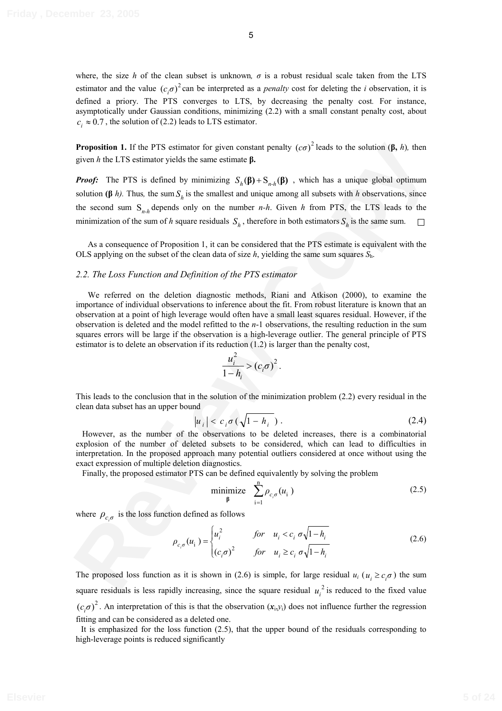where, the size *h* of the clean subset is unknown,  $\sigma$  is a robust residual scale taken from the LTS estimator and the value  $(c,\sigma)^2$  can be interpreted as a *penalty* cost for deleting the *i* observation, it is defined a priory. The PTS converges to LTS, by decreasing the penalty cost*.* For instance, asymptotically under Gaussian conditions, minimizing (2.2) with a small constant penalty cost, about  $c_i \approx 0.7$ , the solution of (2.2) leads to LTS estimator.

**Proposition 1.** If the PTS estimator for given constant penalty  $(c\sigma)^2$  leads to the solution ( $\beta$ , *h*)*,* then given *h* the LTS estimator yields the same estimate  $\beta$ .

*Proof:* The PTS is defined by minimizing  $S_h(\beta) + S_{n-h}(\beta)$ , which has a unique global optimum solution ( $\beta$  *h*). Thus, the sum  $S_h$  is the smallest and unique among all subsets with *h* observations, since the second sum  $S_{n-h}$  depends only on the number *n-h*. Given *h* from PTS, the LTS leads to the minimization of the sum of *h* square residuals  $S_h$ , therefore in both estimators  $S_h$  is the same sum.

As a consequence of Proposition 1, it can be considered that the PTS estimate is equivalent with the OLS applying on the subset of the clean data of size *h*, yielding the same sum squares *S*h.

# *2.2. The Loss Function and Definition of the PTS estimator*

**Proposition 1. If the PTS estimator (i) given constant penalty (cr)' heads to the solution (** $\beta$ **,** *b***), then<br>
<b>Revorf:** The ITS is defined by minimizing  $S_n(\beta) + S_{nA}(\beta)$ , which has a unique global optimum<br>
solution ( $\beta$ We referred on the deletion diagnostic methods, Riani and Atkison (2000), to examine the importance of individual observations to inference about the fit. From robust literature is known that an observation at a point of high leverage would often have a small least squares residual. However, if the observation is deleted and the model refitted to the *n*-1 observations, the resulting reduction in the sum squares errors will be large if the observation is a high-leverage outlier. The general principle of PTS estimator is to delete an observation if its reduction (1.2) is larger than the penalty cost,

$$
\frac{u_i^2}{1-h_i} > (c_i \sigma)^2.
$$

This leads to the conclusion that in the solution of the minimization problem (2.2) every residual in the clean data subset has an upper bound

$$
|u_i| < c_i \sigma \left(\sqrt{1 - h_i}\right). \tag{2.4}
$$

However, as the number of the observations to be deleted increases, there is a combinatorial explosion of the number of deleted subsets to be considered, which can lead to difficulties in interpretation. In the proposed approach many potential outliers considered at once without using the exact expression of multiple deletion diagnostics.

Finally, the proposed estimator PTS can be defined equivalently by solving the problem

$$
\underset{\beta}{\text{minimize}} \quad \sum_{i=1}^{n} \rho_{c_i \sigma}(u_i) \tag{2.5}
$$

where  $\rho_{c,\sigma}$  is the loss function defined as follows

$$
\rho_{c_i \sigma}(u_i) = \begin{cases}\nu_i^2 & \text{for} \quad u_i < c_i \sigma \sqrt{1 - h_i} \\
(c_i \sigma)^2 & \text{for} \quad u_i \ge c_i \sigma \sqrt{1 - h_i}\n\end{cases} \tag{2.6}
$$

The proposed loss function as it is shown in (2.6) is simple, for large residual  $u_i$  ( $u_i \ge c_i \sigma$ ) the sum square residuals is less rapidly increasing, since the square residual  $u_i^2$  is reduced to the fixed value  $(c_i \sigma)^2$ . An interpretation of this is that the observation  $(x_i, y_i)$  does not influence further the regression fitting and can be considered as a deleted one.

It is emphasized for the loss function (2.5), that the upper bound of the residuals corresponding to high-leverage points is reduced significantly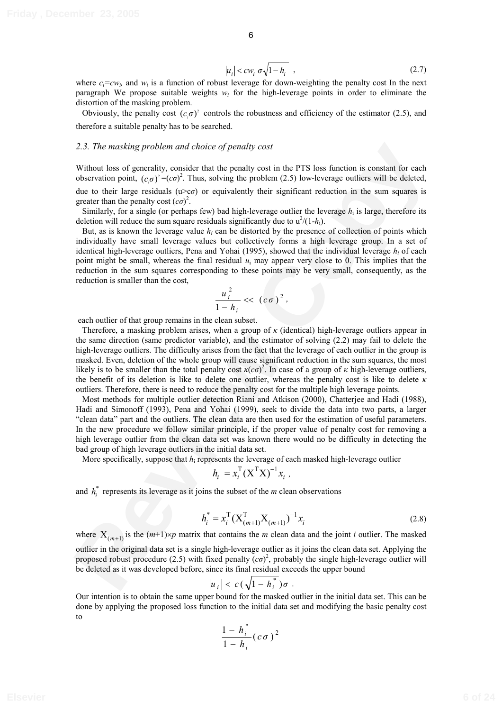$$
|u_i| < cw_i \sigma \sqrt{1 - h_i} \quad , \tag{2.7}
$$

where  $c_i = cw_i$ , and  $w_i$  is a function of robust leverage for down-weighting the penalty cost In the next paragraph We propose suitable weights *wi* for the high-leverage points in order to eliminate the distortion of the masking problem.

Obviously, the penalty cost  $(c_i \sigma)^2$  controls the robustness and efficiency of the estimator (2.5), and therefore a suitable penalty has to be searched.

#### *2.3. The masking problem and choice of penalty cost*

Without loss of generality, consider that the penalty cost in the PTS loss function is constant for each observation point,  $(c_i \sigma)^2 = (c\sigma)^2$ . Thus, solving the problem (2.5) low-leverage outliers will be deleted, due to their large residuals ( $u > c\sigma$ ) or equivalently their significant reduction in the sum squares is greater than the penalty cost  $(c\sigma)^2$ .

Similarly, for a single (or perhaps few) bad high-leverage outlier the leverage  $h_i$  is large, therefore its deletion will reduce the sum square residuals significantly due to  $u^2/(1-h_i)$ .

But, as is known the leverage value *hi* can be distorted by the presence of collection of points which individually have small leverage values but collectively forms a high leverage group. In a set of identical high-leverage outliers, Pena and Yohai (1995), showed that the individual leverage *hi* of each point might be small, whereas the final residual  $u_i$  may appear very close to 0. This implies that the reduction in the sum squares corresponding to these points may be very small, consequently, as the reduction is smaller than the cost,

$$
\frac{u_i^2}{1-h_i}<<\left(c\sigma\right)^2,
$$

each outlier of that group remains in the clean subset.

2.3. The masking problem and choice of penalty cost<br>in the TIS loss function is constant for each Without loss of generally, consider that the penalty cost of the Sole penalty consider that the penalty consider that the t Therefore, a masking problem arises, when a group of  $\kappa$  (identical) high-leverage outliers appear in the same direction (same predictor variable), and the estimator of solving (2.2) may fail to delete the high-leverage outliers. The difficulty arises from the fact that the leverage of each outlier in the group is masked. Even, deletion of the whole group will cause significant reduction in the sum squares, the most likely is to be smaller than the total penalty cost  $\kappa(c\sigma)^2$ . In case of a group of  $\kappa$  high-leverage outliers, the benefit of its deletion is like to delete one outlier, whereas the penalty cost is like to delete  $\kappa$ outliers. Therefore, there is need to reduce the penalty cost for the multiple high leverage points.

Most methods for multiple outlier detection Riani and Atkison (2000), Chatterjee and Hadi (1988), Hadi and Simonoff (1993), Pena and Yohai (1999), seek to divide the data into two parts, a larger "clean data" part and the outliers. The clean data are then used for the estimation of useful parameters. In the new procedure we follow similar principle, if the proper value of penalty cost for removing a high leverage outlier from the clean data set was known there would no be difficulty in detecting the bad group of high leverage outliers in the initial data set.

More specifically, suppose that  $h_i$  represents the leverage of each masked high-leverage outlier

$$
h_i = x_i^{\mathrm{T}} (\mathrm{X}^{\mathrm{T}} \mathrm{X})^{-1} x_i ,
$$

and  $h_i^*$  represents its leverage as it joins the subset of the *m* clean observations

$$
h_i^* = x_i^{\mathrm{T}} (X_{(m+1)}^{\mathrm{T}} X_{(m+1)})^{-1} x_i
$$
 (2.8)

where  $X_{(m+1)}$  is the  $(m+1)\times p$  matrix that contains the *m* clean data and the joint *i* outlier. The masked outlier in the original data set is a single high-leverage outlier as it joins the clean data set. Applying the proposed robust procedure (2.5) with fixed penalty  $(c\sigma)^2$ , probably the single high-leverage outlier will be deleted as it was developed before, since its final residual exceeds the upper bound

$$
|u_i| < c\left(\sqrt{1-h_i^*}\right)\sigma.
$$

Our intention is to obtain the same upper bound for the masked outlier in the initial data set. This can be done by applying the proposed loss function to the initial data set and modifying the basic penalty cost to

$$
\frac{1-h_i^*}{1-h_i}(c\sigma)^2
$$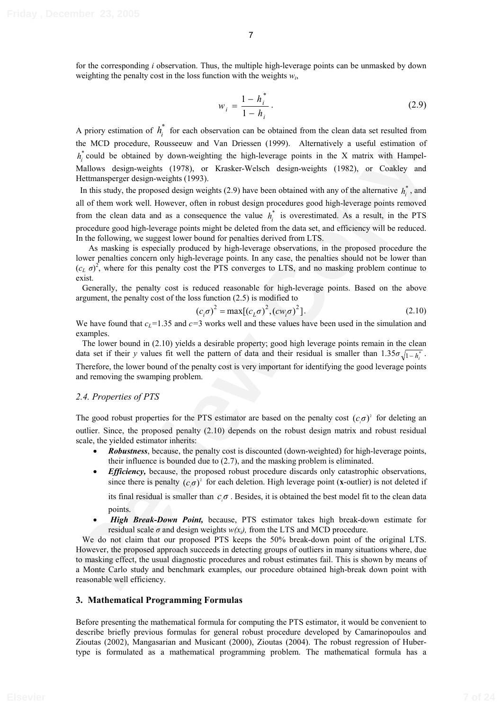weighting the penalty cost in the loss function with the weights  $w_i$ ,

$$
w_i = \frac{1 - h_i^*}{1 - h_i} \,. \tag{2.9}
$$

A priory estimation of  $h_i^*$  for each observation can be obtained from the clean data set resulted from the MCD procedure, Rousseeuw and Van Driessen (1999). Alternatively a useful estimation of \*  $h_i^*$  could be obtained by down-weighting the high-leverage points in the X matrix with Hampel-Mallows design-weights (1978), or Krasker-Welsch design-weights (1982), or Coakley and Hettmansperger design-weights (1993).

the WLD procedure, koniesedwe and Vata Cristics (1999). Natramitively 1 usefits and Natra Cristics (1992), or Coakiely and Natra Cristics (1992), or Coakiely and Natra Cristics (1992), or Coakiely and Mallows design-weigh In this study, the proposed design weights (2.9) have been obtained with any of the alternative  $h_i^*$ , and all of them work well. However, often in robust design procedures good high-leverage points removed from the clean data and as a consequence the value  $h_i^*$  is overestimated. As a result, in the PTS procedure good high-leverage points might be deleted from the data set, and efficiency will be reduced. In the following, we suggest lower bound for penalties derived from LTS.

As masking is especially produced by high-leverage observations, in the proposed procedure the lower penalties concern only high-leverage points. In any case, the penalties should not be lower than  $(c<sub>L</sub> \sigma)^2$ , where for this penalty cost the PTS converges to LTS, and no masking problem continue to exist.

Generally, the penalty cost is reduced reasonable for high-leverage points. Based on the above argument, the penalty cost of the loss function (2.5) is modified to

$$
(c_i \sigma)^2 = \max[(c_L \sigma)^2, (cw_i \sigma)^2].
$$
 (2.10)

We have found that  $c_L$ =1.35 and  $c=3$  works well and these values have been used in the simulation and examples.

The lower bound in (2.10) yields a desirable property; good high leverage points remain in the clean data set if their *y* values fit well the pattern of data and their residual is smaller than  $1.35\sigma\sqrt{1-h_i^*}$ . Therefore, the lower bound of the penalty cost is very important for identifying the good leverage points and removing the swamping problem.

## *2.4. Properties of PTS*

The good robust properties for the PTS estimator are based on the penalty cost  $(c_i \sigma)^2$  for deleting an outlier. Since, the proposed penalty (2.10) depends on the robust design matrix and robust residual scale, the yielded estimator inherits:

- *Robustness*, because, the penalty cost is discounted (down-weighted) for high-leverage points, their influence is bounded due to (2.7), and the masking problem is eliminated.
- *Efficiency*, because, the proposed robust procedure discards only catastrophic observations, since there is penalty  $(c_i \sigma)^2$  for each deletion. High leverage point (**x**-outlier) is not deleted if

its final residual is smaller than  $c_i \sigma$ . Besides, it is obtained the best model fit to the clean data points.

• *High Break-Down Point,* because, PTS estimator takes high break-down estimate for residual scale  $\sigma$  and design weights  $w(x_i)$ , from the LTS and MCD procedure.

We do not claim that our proposed PTS keeps the 50% break-down point of the original LTS. However, the proposed approach succeeds in detecting groups of outliers in many situations where, due to masking effect, the usual diagnostic procedures and robust estimates fail. This is shown by means of a Monte Carlo study and benchmark examples, our procedure obtained high-break down point with reasonable well efficiency.

#### **3. Mathematical Programming Formulas**

Before presenting the mathematical formula for computing the PTS estimator, it would be convenient to describe briefly previous formulas for general robust procedure developed by Camarinopoulos and Zioutas (2002), Mangasarian and Musicant (2000), Zioutas (2004). The robust regression of Hubertype is formulated as a mathematical programming problem. The mathematical formula has a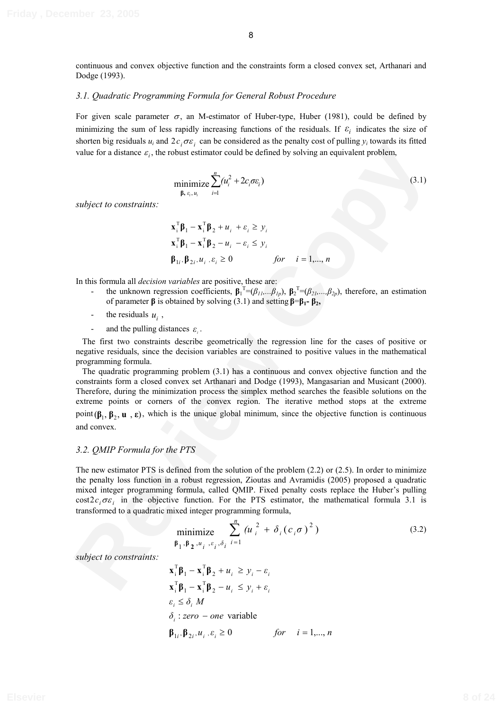continuous and convex objective function and the constraints form a closed convex set, Arthanari and Dodge (1993).

### *3.1. Quadratic Programming Formula for General Robust Procedure*

For given scale parameter  $\sigma$ , an M-estimator of Huber-type, Huber (1981), could be defined by minimizing the sum of less rapidly increasing functions of the residuals. If  $\varepsilon$  indicates the size of shorten big residuals  $u_i$  and  $2c_i \sigma \varepsilon_i$  can be considered as the penalty cost of pulling  $y_i$  towards its fitted value for a distance  $\varepsilon_i$ , the robust estimator could be defined by solving an equivalent problem,

$$
\underset{\beta, \varepsilon_i, u_i}{\text{minimize}} \sum_{i=1}^{n} (u_i^2 + 2c_i \sigma \varepsilon_i)
$$
\n(3.1)

*subject to constraints:* 

$$
\mathbf{x}_{i}^{\mathrm{T}} \boldsymbol{\beta}_{1} - \mathbf{x}_{i}^{\mathrm{T}} \boldsymbol{\beta}_{2} + u_{i} + \varepsilon_{i} \geq y_{i}
$$
\n
$$
\mathbf{x}_{i}^{\mathrm{T}} \boldsymbol{\beta}_{1} - \mathbf{x}_{i}^{\mathrm{T}} \boldsymbol{\beta}_{2} - u_{i} - \varepsilon_{i} \leq y_{i}
$$
\n
$$
\boldsymbol{\beta}_{1i}, \boldsymbol{\beta}_{2i}, u_{i}, \varepsilon_{i} \geq 0 \qquad \text{for} \quad i = 1, ..., n
$$

In this formula all *decision variables* are positive, these are:

- the unknown regression coefficients,  $\beta_1^T = (\beta_{11}, \dots, \beta_{1p}), \beta_2^T = (\beta_{21}, \dots, \beta_{2p}),$  therefore, an estimation of parameter  $\beta$  is obtained by solving (3.1) and setting  $\beta = \beta_1 - \beta_2$ ,
- the residuals  $u_i$ ,
- and the pulling distances  $\varepsilon$ .

The first two constraints describe geometrically the regression line for the cases of positive or negative residuals, since the decision variables are constrained to positive values in the mathematical programming formula.

shown to get them and the pulling distance could be defined by solving an equivalent problem,<br>
value for a distance  $z_i$ , the robast estimator could be defined by solving an equivalent problem,<br>
minimize  $\sum_{i=1}^{n} n_i^2 +$ The quadratic programming problem (3.1) has a continuous and convex objective function and the constraints form a closed convex set Arthanari and Dodge (1993), Mangasarian and Musicant (2000). Therefore, during the minimization process the simplex method searches the feasible solutions on the extreme points or corners of the convex region. The iterative method stops at the extreme point  $(\beta_1, \beta_2, \mathbf{u}, \mathbf{\varepsilon})$ , which is the unique global minimum, since the objective function is continuous and convex.

### *3.2. QMIP Formula for the PTS*

The new estimator PTS is defined from the solution of the problem (2.2) or (2.5). In order to minimize the penalty loss function in a robust regression, Zioutas and Avramidis (2005) proposed a quadratic mixed integer programming formula, called QMIP. Fixed penalty costs replace the Huber's pulling  $\cos 2c_i \sigma \varepsilon_i$  in the objective function. For the PTS estimator, the mathematical formula 3.1 is transformed to a quadratic mixed integer programming formula,

minimize 
$$
\sum_{\beta_1, \beta_2, u_i, s_i, \delta_i}^{n} (u_i^2 + \delta_i (c_i \sigma)^2)
$$
 (3.2)

*subject to constraints:* 

$$
\mathbf{x}_{i}^{\mathrm{T}} \boldsymbol{\beta}_{1} - \mathbf{x}_{i}^{\mathrm{T}} \boldsymbol{\beta}_{2} + u_{i} \geq y_{i} - \varepsilon_{i}
$$
\n
$$
\mathbf{x}_{i}^{\mathrm{T}} \boldsymbol{\beta}_{1} - \mathbf{x}_{i}^{\mathrm{T}} \boldsymbol{\beta}_{2} - u_{i} \leq y_{i} + \varepsilon_{i}
$$
\n
$$
\varepsilon_{i} \leq \delta_{i} M
$$
\n
$$
\delta_{i} : zero - one \ \text{variable}
$$
\n
$$
\boldsymbol{\beta}_{1i}, \boldsymbol{\beta}_{2i}, u_{i}, \varepsilon_{i} \geq 0 \qquad \text{for} \quad i = 1, ..., n
$$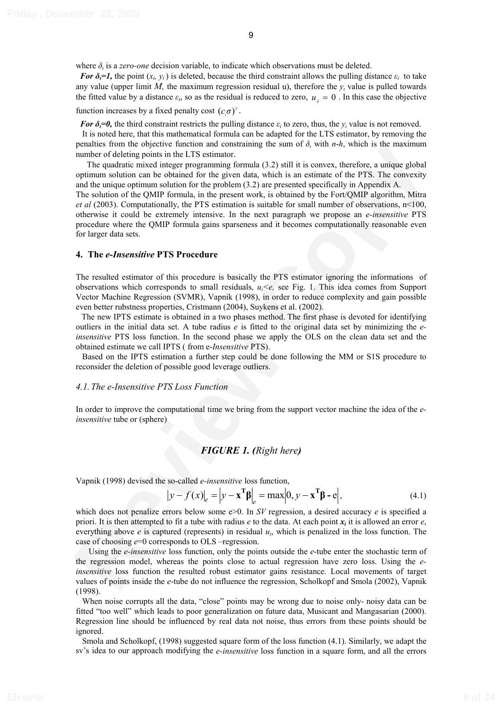where  $\delta_i$  is a *zero-one* decision variable, to indicate which observations must be deleted.

*For*  $\delta_i = 1$ , the point  $(x_i, y_i)$  is deleted, because the third constraint allows the pulling distance  $\varepsilon_i$  to take any value (upper limit  $M$ , the maximum regression residual u), therefore the  $y_i$  value is pulled towards the fitted value by a distance  $\varepsilon_i$ , so as the residual is reduced to zero,  $u_i = 0$ . In this case the objective

function increases by a fixed penalty cost  $(c_i \sigma)^2$ .

*For*  $\delta_i = 0$ , the third constraint restricts the pulling distance  $\varepsilon_i$  to zero, thus, the  $y_i$  value is not removed.

It is noted here, that this mathematical formula can be adapted for the LTS estimator, by removing the penalties from the objective function and constraining the sum of  $\delta$ , with *n*-*h*, which is the maximum number of deleting points in the LTS estimator.

The quadratic mixed integer programming formula (3.2) still it is convex, therefore, a unique global optimum solution can be obtained for the given data, which is an estimate of the PTS. The convexity and the unique optimum solution for the problem (3.2) are presented specifically in Appendix A.

pearance measure control and consistent in constraining the stame of  $\alpha$ , went  $n\pi a$ , when it is consistent that the standard initial consistent of the gradient consistent of the PIS - is equivalently consistent of the The solution of the QMIP formula, in the present work, is obtained by the Fort/QMIP algorithm, Mitra *et al* (2003). Computationally, the PTS estimation is suitable for small number of observations, n<100, otherwise it could be extremely intensive. In the next paragraph we propose an *e-insensitive* PTS procedure where the QMIP formula gains sparseness and it becomes computationally reasonable even for larger data sets.

#### **4. The** *e-Insensitive* **PTS Procedure**

The resulted estimator of this procedure is basically the PTS estimator ignoring the informations of observations which corresponds to small residuals, *ui<e,* see Fig. 1. This idea comes from Support Vector Machine Regression (SVMR), Vapnik (1998), in order to reduce complexity and gain possible even better rubstness properties, Cristmann (2004), Suykens et al. (2002).

The new IPTS estimate is obtained in a two phases method. The first phase is devoted for identifying outliers in the initial data set. A tube radius *e* is fitted to the original data set by minimizing the *einsensitive* PTS loss function. In the second phase we apply the OLS on the clean data set and the obtained estimate we call IPTS ( from e-*Insensitive* PTS).

Based on the IPTS estimation a further step could be done following the MM or S1S procedure to reconsider the deletion of possible good leverage outliers.

### *4.1. The e-Insensitive PTS Loss Function*

In order to improve the computational time we bring from the support vector machine the idea of the *einsensitive* tube or (sphere)

# *FIGURE 1. (Right here)*

Vapnik (1998) devised the so-called *e-insensitive* loss function,

$$
\left| y - f(x) \right|_e = \left| y - \mathbf{x}^{\mathrm{T}} \boldsymbol{\beta} \right|_e = \max \left| 0, y - \mathbf{x}^{\mathrm{T}} \boldsymbol{\beta} - \mathbf{e} \right|,
$$
 (4.1)

which does not penalize errors below some e>0. In *SV* regression, a desired accuracy *e* is specified a priori. It is then attempted to fit a tube with radius  $e$  to the data. At each point  $x_i$  it is allowed an error  $e$ , everything above *e* is captured (represents) in residual *ui*, which is penalized in the loss function. The case of choosing *e*=0 corresponds to OLS –regression.

Using the *e-insensitive* loss function, only the points outside the *e*-tube enter the stochastic term of the regression model, whereas the points close to actual regression have zero loss. Using the *einsensitive* loss function the resulted robust estimator gains resistance. Local movements of target values of points inside the *e*-tube do not influence the regression, Scholkopf and Smola (2002), Vapnik (1998).

When noise corrupts all the data, "close" points may be wrong due to noise only- noisy data can be fitted "too well" which leads to poor generalization on future data, Musicant and Mangasarian (2000). Regression line should be influenced by real data not noise, thus errors from these points should be ignored.

Smola and Scholkopf, (1998) suggested square form of the loss function (4.1). Similarly, we adapt the sv's idea to our approach modifying the *e-insensitive* loss function in a square form, and all the errors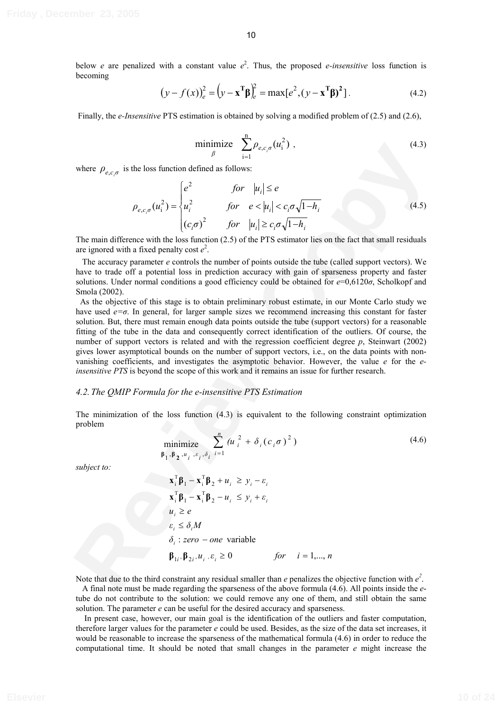below *e* are penalized with a constant value  $e^2$ . Thus, the proposed *e-insensitive* loss function is becoming

$$
(y - f(x))_e^2 = (y - x^T \beta)_e^2 = \max [e^2, (y - x^T \beta)^2].
$$
 (4.2)

Finally, the *e-Insensitive* PTS estimation is obtained by solving a modified problem of (2.5) and (2.6),

$$
\underset{\beta}{\text{minimize}} \quad \sum_{i=1}^{n} \rho_{e,c_i\sigma}(u_i^2) \tag{4.3}
$$

where  $\rho_{e,c,\sigma}$  is the loss function defined as follows:

$$
\rho_{e,c,\sigma}(u_i^2) = \begin{cases}\ne^2 & \text{for} \quad |u_i| \le e \\
u_i^2 & \text{for} \quad e < |u_i| < c_i \sigma \sqrt{1-h_i} \\
(c_i \sigma)^2 & \text{for} \quad |u_i| \ge c_i \sigma \sqrt{1-h_i}\n\end{cases} \tag{4.5}
$$

The main difference with the loss function (2.5) of the PTS estimator lies on the fact that small residuals are ignored with a fixed penalty cost  $e^2$ .

The accuracy parameter *e* controls the number of points outside the tube (called support vectors). We have to trade off a potential loss in prediction accuracy with gain of sparseness property and faster solutions. Under normal conditions a good efficiency could be obtained for  $e=0.6120\sigma$ , Scholkopf and Smola (2002).

**EVALUATE:** The loss function defined as follows:<br>  $\int_{0}^{R} \rho_{x,\sigma} g(x) dx$ , the loss function defined as follows:<br>  $\rho_{x,\sigma} g(x) = \begin{cases} e^{x} & \text{for } |x| \leq \epsilon \\ a^{2} & \text{for } \epsilon \leq k \end{cases}$ <br>  $\rho_{x,\sigma} g(x) = \begin{cases} e^{x} & \text{for } \epsilon \leq k \end{cases}$ <br>  $\left(c, \sigma$ As the objective of this stage is to obtain preliminary robust estimate, in our Monte Carlo study we have used  $e=\sigma$ . In general, for larger sample sizes we recommend increasing this constant for faster solution. But, there must remain enough data points outside the tube (support vectors) for a reasonable fitting of the tube in the data and consequently correct identification of the outliers. Of course, the number of support vectors is related and with the regression coefficient degree *p*, Steinwart (2002) gives lower asymptotical bounds on the number of support vectors, i.e., on the data points with nonvanishing coefficients, and investigates the asymptotic behavior. However, the value *e* for the *einsensitive PTS* is beyond the scope of this work and it remains an issue for further research.

#### *4.2. The QMIP Formula for the e-insensitive PTS Estimation*

The minimization of the loss function (4.3) is equivalent to the following constraint optimization problem

minimize 
$$
\sum_{\beta_1, \beta_2, u_i, \varepsilon_i, \delta_i}^{n} \sum_{i=1}^{n} (u_i^2 + \delta_i (c_i \sigma)^2)
$$
 (4.6)

*subject to:* 

$$
\mathbf{x}_{i}^{\mathrm{T}} \boldsymbol{\beta}_{1} - \mathbf{x}_{i}^{\mathrm{T}} \boldsymbol{\beta}_{2} + u_{i} \ge y_{i} - \varepsilon_{i}
$$
\n
$$
\mathbf{x}_{i}^{\mathrm{T}} \boldsymbol{\beta}_{1} - \mathbf{x}_{i}^{\mathrm{T}} \boldsymbol{\beta}_{2} - u_{i} \le y_{i} + \varepsilon_{i}
$$
\n
$$
u_{i} \ge e
$$
\n
$$
\varepsilon_{i} \le \delta_{i} M
$$
\n
$$
\delta_{i} : zero - one \ \text{variable}
$$
\n
$$
\boldsymbol{\beta}_{1i}, \boldsymbol{\beta}_{2i}, u_{i}, \varepsilon_{i} \ge 0 \qquad \text{for} \quad i = 1, ..., n
$$

Note that due to the third constraint any residual smaller than  $e$  penalizes the objective function with  $e^2$ .

A final note must be made regarding the sparseness of the above formula (4.6). All points inside the *e*tube do not contribute to the solution: we could remove any one of them, and still obtain the same solution. The parameter *e* can be useful for the desired accuracy and sparseness.

In present case, however, our main goal is the identification of the outliers and faster computation, therefore larger values for the parameter *e* could be used. Besides, as the size of the data set increases, it would be reasonable to increase the sparseness of the mathematical formula (4.6) in order to reduce the computational time. It should be noted that small changes in the parameter *e* might increase the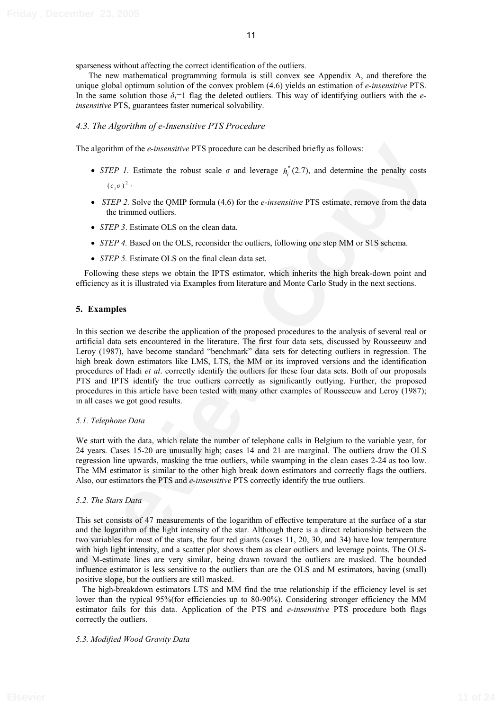sparseness without affecting the correct identification of the outliers.

The new mathematical programming formula is still convex see Appendix A, and therefore the unique global optimum solution of the convex problem (4.6) yields an estimation of *e-insensitive* PTS. In the same solution those  $\delta_i = 1$  flag the deleted outliers. This way of identifying outliers with the *einsensitive* PTS, guarantees faster numerical solvability.

#### *4.3. The Algorithm of e-Insensitive PTS Procedure*

The algorithm of the *e-insensitive* PTS procedure can be described briefly as follows:

- *STEP 1*. Estimate the robust scale  $\sigma$  and leverage  $h_i^*(2.7)$ , and determine the penalty costs  $(c_i \sigma)^2$ .
- *STEP 2.* Solve the QMIP formula (4.6) for the *e-insensitive* PTS estimate, remove from the data the trimmed outliers.
- *STEP 3*. Estimate OLS on the clean data.
- *STEP 4*. Based on the OLS, reconsider the outliers, following one step MM or S1S schema.
- *STEP 5*. Estimate OLS on the final clean data set.

Following these steps we obtain the IPTS estimator, which inherits the high break-down point and efficiency as it is illustrated via Examples from literature and Monte Carlo Study in the next sections.

### **5. Examples**

The algosithm of the *e-insertiative* PTS procedure can be described briefly as follows.<br>
• *STEP 1*. Estimate the robust scale  $\sigma$  and leverage  $h'_1(2.7)$ , and determine the penalty costs<br>
• *STEP 1*. Selve the OMIP for In this section we describe the application of the proposed procedures to the analysis of several real or artificial data sets encountered in the literature. The first four data sets, discussed by Rousseeuw and Leroy (1987), have become standard "benchmark" data sets for detecting outliers in regression. The high break down estimators like LMS, LTS, the MM or its improved versions and the identification procedures of Hadi *et al*. correctly identify the outliers for these four data sets. Both of our proposals PTS and IPTS identify the true outliers correctly as significantly outlying. Further, the proposed procedures in this article have been tested with many other examples of Rousseeuw and Leroy (1987); in all cases we got good results.

#### *5.1. Telephone Data*

We start with the data, which relate the number of telephone calls in Belgium to the variable year, for 24 years. Cases 15-20 are unusually high; cases 14 and 21 are marginal. The outliers draw the OLS regression line upwards, masking the true outliers, while swamping in the clean cases 2-24 as too low. The MM estimator is similar to the other high break down estimators and correctly flags the outliers. Also, our estimators the PTS and *e-insensitive* PTS correctly identify the true outliers.

#### *5.2. The Stars Data*

This set consists of 47 measurements of the logarithm of effective temperature at the surface of a star and the logarithm of the light intensity of the star. Although there is a direct relationship between the two variables for most of the stars, the four red giants (cases 11, 20, 30, and 34) have low temperature with high light intensity, and a scatter plot shows them as clear outliers and leverage points. The OLSand M-estimate lines are very similar, being drawn toward the outliers are masked. The bounded influence estimator is less sensitive to the outliers than are the OLS and M estimators, having (small) positive slope, but the outliers are still masked.

The high-breakdown estimators LTS and MM find the true relationship if the efficiency level is set lower than the typical 95%(for efficiencies up to 80-90%). Considering stronger efficiency the MM estimator fails for this data. Application of the PTS and *e-insensitive* PTS procedure both flags correctly the outliers.

#### *5.3. Modified Wood Gravity Data*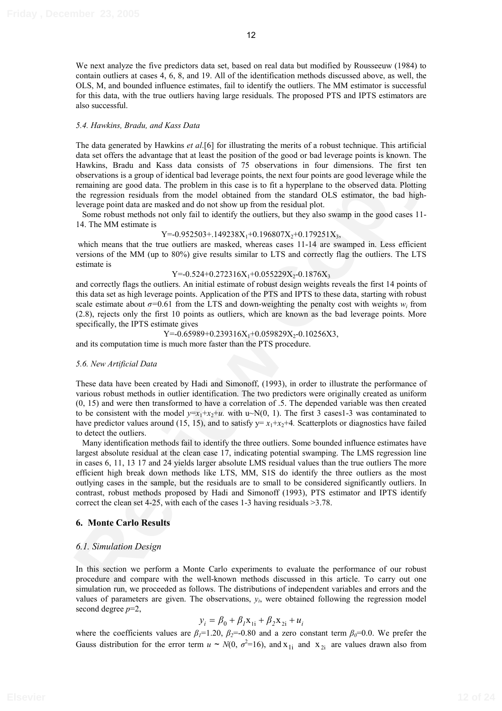#### *5.4. Hawkins, Bradu, and Kass Data*

The data generated by Hawkins *et al*.[6] for illustrating the merits of a robust technique. This artificial data set offers the advantage that at least the position of the good or bad leverage points is known. The Hawkins, Bradu and Kass data consists of 75 observations in four dimensions. The first ten observations is a group of identical bad leverage points, the next four points are good leverage while the remaining are good data. The problem in this case is to fit a hyperplane to the observed data. Plotting the regression residuals from the model obtained from the standard OLS estimator, the bad highleverage point data are masked and do not show up from the residual plot.

Some robust methods not only fail to identify the outliers, but they also swamp in the good cases 11- 14. The MM estimate is

 $Y=0.952503+.149238X_1+0.196807X_2+0.179251X_3,$ 

which means that the true outliers are masked, whereas cases 11-14 are swamped in. Less efficient versions of the MM (up to 80%) give results similar to LTS and correctly flag the outliers. The LTS estimate is

#### $Y=0.524+0.272316X_1+0.055229X_2-0.1876X_3$

and correctly flags the outliers. An initial estimate of robust design weights reveals the first 14 points of this data set as high leverage points. Application of the PTS and IPTS to these data, starting with robust scale estimate about  $\sigma$ =0.61 from the LTS and down-weighting the penalty cost with weights  $w_i$  from (2.8), rejects only the first 10 points as outliers, which are known as the bad leverage points. More specifically, the IPTS estimate gives

$$
Y=0.65989+0.239316X_1+0.059829X_2-0.10256X3,
$$

and its computation time is much more faster than the PTS procedure.

#### *5.6. New Artificial Data*

These data have been created by Hadi and Simonoff, (1993), in order to illustrate the performance of various robust methods in outlier identification. The two predictors were originally created as uniform (0, 15) and were then transformed to have a correlation of .5. The depended variable was then created to be consistent with the model  $y=x_1+x_2+u$ . with u~N(0, 1). The first 3 cases1-3 was contaminated to have predictor values around (15, 15), and to satisfy  $y = x_1 + x_2 + 4$ . Scatterplots or diagnostics have failed to detect the outliers.

The dam generated by Hawkme and (16) for illustrating the metric at a robust technique. This article the system of the system of the position of the geod of bod leverage points is known. The linewism, then are known conta Many identification methods fail to identify the three outliers. Some bounded influence estimates have largest absolute residual at the clean case 17, indicating potential swamping. The LMS regression line in cases 6, 11, 13 17 and 24 yields larger absolute LMS residual values than the true outliers The more efficient high break down methods like LTS, MM, S1S do identify the three outliers as the most outlying cases in the sample, but the residuals are to small to be considered significantly outliers. In contrast, robust methods proposed by Hadi and Simonoff (1993), PTS estimator and IPTS identify correct the clean set 4-25, with each of the cases 1-3 having residuals >3.78.

## **6. Monte Carlo Results**

## *6.1. Simulation Design*

In this section we perform a Monte Carlo experiments to evaluate the performance of our robust procedure and compare with the well-known methods discussed in this article. To carry out one simulation run, we proceeded as follows. The distributions of independent variables and errors and the values of parameters are given. The observations,  $y_i$ , were obtained following the regression model second degree *p*=2,

$$
y_i = \beta_0 + \beta_1 x_{1i} + \beta_2 x_{2i} + u_i
$$

where the coefficients values are  $\beta_l$ =1.20,  $\beta_2$ =-0.80 and a zero constant term  $\beta_0$ =0.0. We prefer the Gauss distribution for the error term  $u \sim N(0, \sigma^2=16)$ , and  $x_{1i}$  and  $x_{2i}$  are values drawn also from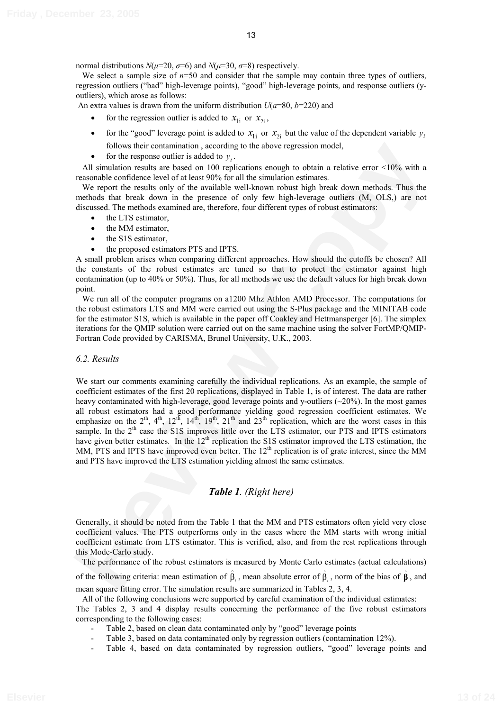normal distributions  $N(\mu=20, \sigma=6)$  and  $N(\mu=30, \sigma=8)$  respectively.

We select a sample size of  $n=50$  and consider that the sample may contain three types of outliers, regression outliers ("bad" high-leverage points), "good" high-leverage points, and response outliers (youtliers), which arose as follows:

An extra values is drawn from the uniform distribution  $U(a=80, b=220)$  and

- for the regression outlier is added to  $x_{1i}$  or  $x_{2i}$ ,
- for the "good" leverage point is added to  $x_{1i}$  or  $x_{2i}$  but the value of the dependent variable  $y_i$ follows their contamination , according to the above regression model,
- for the response outlier is added to  $y_i$ .

All simulation results are based on 100 replications enough to obtain a relative error <10% with a reasonable confidence level of at least 90% for all the simulation estimates.

We report the results only of the available well-known robust high break down methods. Thus the methods that break down in the presence of only few high-leverage outliers (M, OLS,) are not discussed. The methods examined are, therefore, four different types of robust estimators:

- the LTS estimator,
- the MM estimator,
- the S1S estimator.
- the proposed estimators PTS and IPTS.

A small problem arises when comparing different approaches. How should the cutoffs be chosen? All the constants of the robust estimates are tuned so that to protect the estimator against high contamination (up to 40% or 50%). Thus, for all methods we use the default values for high break down point.

We run all of the computer programs on a1200 Mhz Athlon AMD Processor. The computations for the robust estimators LTS and MM were carried out using the S-Plus package and the MINITAB code for the estimator S1S, which is available in the paper off Coakley and Hettmansperger [6]. The simplex iterations for the QMIP solution were carried out on the same machine using the solver FortMP/QMIP-Fortran Code provided by CARISMA, Brunel University, U.K., 2003.

#### *6.2. Results*

follows their contained in on a seconding of the above regression model,<br>
follows their containers and condition and the SN condition and the SN condition contains and the secondinal condition external in the above repres We start our comments examining carefully the individual replications. As an example, the sample of coefficient estimates of the first 20 replications, displayed in Table 1, is of interest. The data are rather heavy contaminated with high-leverage, good leverage points and y-outliers (~20%). In the most games all robust estimators had a good performance yielding good regression coefficient estimates. We emphasize on the  $2<sup>th</sup>$ ,  $4<sup>th</sup>$ ,  $12<sup>th</sup>$ ,  $14<sup>th</sup>$ ,  $19<sup>th</sup>$ ,  $21<sup>th</sup>$  and  $23<sup>th</sup>$  replication, which are the worst cases in this sample. In the  $2<sup>th</sup>$  case the S1S improves little over the LTS estimator, our PTS and IPTS estimators have given better estimates. In the  $12<sup>th</sup>$  replication the S1S estimator improved the LTS estimation, the MM, PTS and IPTS have improved even better. The  $12<sup>th</sup>$  replication is of grate interest, since the MM and PTS have improved the LTS estimation yielding almost the same estimates.

# *Table 1. (Right here)*

Generally, it should be noted from the Table 1 that the MM and PTS estimators often yield very close coefficient values. The PTS outperforms only in the cases where the MM starts with wrong initial coefficient estimate from LTS estimator. This is verified, also, and from the rest replications through this Mode-Carlo study.

The performance of the robust estimators is measured by Monte Carlo estimates (actual calculations)

of the following criteria: mean estimation of  $\hat{\beta}_i$ , mean absolute error of  $\hat{\beta}_i$ , norm of the bias of  $\hat{\beta}$ , and mean square fitting error. The simulation results are summarized in Tables 2, 3, 4.

All of the following conclusions were supported by careful examination of the individual estimates:

The Tables 2, 3 and 4 display results concerning the performance of the five robust estimators corresponding to the following cases:

- Table 2, based on clean data contaminated only by "good" leverage points
- Table 3, based on data contaminated only by regression outliers (contamination 12%).
- Table 4, based on data contaminated by regression outliers, "good" leverage points and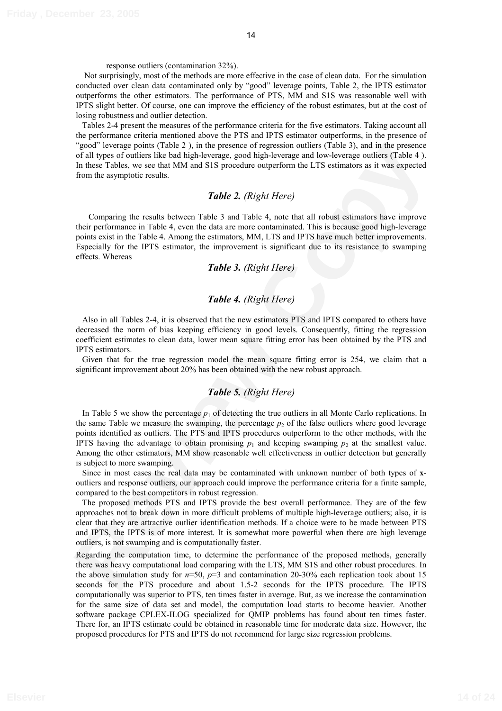response outliers (contamination 32%).

Not surprisingly, most of the methods are more effective in the case of clean data. For the simulation conducted over clean data contaminated only by "good" leverage points, Table 2, the IPTS estimator outperforms the other estimators. The performance of PTS, MM and S1S was reasonable well with IPTS slight better. Of course, one can improve the efficiency of the robust estimates, but at the cost of losing robustness and outlier detection.

Tables 2-4 present the measures of the performance criteria for the five estimators. Taking account all the performance criteria mentioned above the PTS and IPTS estimator outperforms, in the presence of "good" leverage points (Table 2 ), in the presence of regression outliers (Table 3), and in the presence of all types of outliers like bad high-leverage, good high-leverage and low-leverage outliers (Table 4 ). In these Tables, we see that MM and S1S procedure outperform the LTS estimators as it was expected from the asymptotic results.

# *Table 2. (Right Here)*

Comparing the results between Table 3 and Table 4, note that all robust estimators have improve their performance in Table 4, even the data are more contaminated. This is because good high-leverage points exist in the Table 4. Among the estimators, MM, LTS and IPTS have much better improvements. Especially for the IPTS estimator, the improvement is significant due to its resistance to swamping effects. Whereas

# *Table 3. (Right Here)*

# *Table 4. (Right Here)*

Also in all Tables 2-4, it is observed that the new estimators PTS and IPTS compared to others have decreased the norm of bias keeping efficiency in good levels. Consequently, fitting the regression coefficient estimates to clean data, lower mean square fitting error has been obtained by the PTS and IPTS estimators.

Given that for the true regression model the mean square fitting error is 254, we claim that a significant improvement about 20% has been obtained with the new robust approach.

# *Table 5. (Right Here)*

"good" leverage points (Table 2), the hyerescond regression outlets? (Table 1), and in the presenction of all types of outlets? like both high-leverage, good high-leverage and low-leverage outliers (Table 1). In these Tab In Table 5 we show the percentage  $p_1$  of detecting the true outliers in all Monte Carlo replications. In the same Table we measure the swamping, the percentage  $p_2$  of the false outliers where good leverage points identified as outliers. The PTS and IPTS procedures outperform to the other methods, with the IPTS having the advantage to obtain promising  $p_1$  and keeping swamping  $p_2$  at the smallest value. Among the other estimators, MM show reasonable well effectiveness in outlier detection but generally is subject to more swamping.

Since in most cases the real data may be contaminated with unknown number of both types of **x**outliers and response outliers, our approach could improve the performance criteria for a finite sample, compared to the best competitors in robust regression.

The proposed methods PTS and IPTS provide the best overall performance. They are of the few approaches not to break down in more difficult problems of multiple high-leverage outliers; also, it is clear that they are attractive outlier identification methods. If a choice were to be made between PTS and IPTS, the IPTS is of more interest. It is somewhat more powerful when there are high leverage outliers, is not swamping and is computationally faster.

Regarding the computation time, to determine the performance of the proposed methods, generally there was heavy computational load comparing with the LTS, MM S1S and other robust procedures. In the above simulation study for  $n=50$ ,  $p=3$  and contamination 20-30% each replication took about 15 seconds for the PTS procedure and about 1.5-2 seconds for the IPTS procedure. The IPTS computationally was superior to PTS, ten times faster in average. But, as we increase the contamination for the same size of data set and model, the computation load starts to become heavier. Another software package CPLEX-ILOG specialized for QMIP problems has found about ten times faster. There for, an IPTS estimate could be obtained in reasonable time for moderate data size. However, the proposed procedures for PTS and IPTS do not recommend for large size regression problems.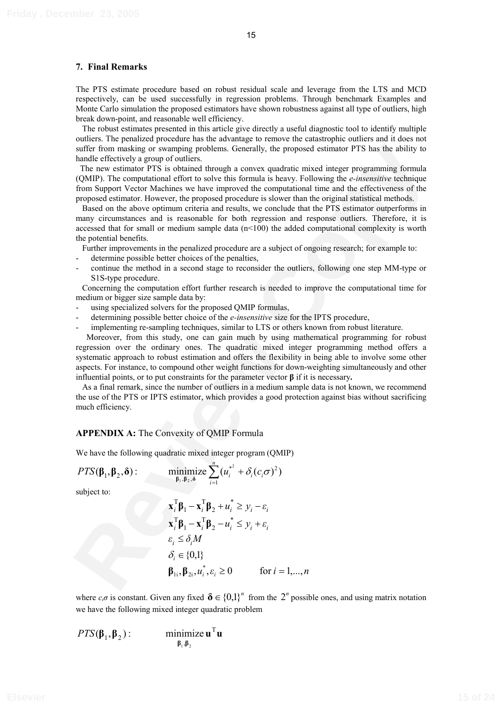The PTS estimate procedure based on robust residual scale and leverage from the LTS and MCD respectively, can be used successfully in regression problems. Through benchmark Examples and Monte Carlo simulation the proposed estimators have shown robustness against all type of outliers, high break down-point, and reasonable well efficiency.

The robust estimates presented in this article give directly a useful diagnostic tool to identify multiple outliers. The penalized procedure has the advantage to remove the catastrophic outliers and it does not suffer from masking or swamping problems. Generally, the proposed estimator PTS has the ability to handle effectively a group of outliers.

The new estimator PTS is obtained through a convex quadratic mixed integer programming formula (QMIP). The computational effort to solve this formula is heavy. Following the *e-insensitive* technique from Support Vector Machines we have improved the computational time and the effectiveness of the proposed estimator. However, the proposed procedure is slower than the original statistical methods.

Based on the above optimum criteria and results, we conclude that the PTS estimator outperforms in many circumstances and is reasonable for both regression and response outliers. Therefore, it is accessed that for small or medium sample data  $(n<100)$  the added computational complexity is worth the potential benefits.

Further improvements in the penalized procedure are a subject of ongoing research; for example to:

- determine possible better choices of the penalties,
- continue the method in a second stage to reconsider the outliers, following one step MM-type or S1S-type procedure.

Concerning the computation effort further research is needed to improve the computational time for medium or bigger size sample data by:

- using specialized solvers for the proposed QMIP formulas,
- determining possible better choice of the *e-insensitive* size for the IPTS procedure,
- implementing re-sampling techniques, similar to LTS or others known from robust literature.

solite from mesking or swamping problems. Generally, the proposed estimator PTS has the shill y to simulate effectively a group of outliers. The new setman form to have the most contained through a convert qualitie invest Moreover, from this study, one can gain much by using mathematical programming for robust regression over the ordinary ones. The quadratic mixed integer programming method offers a systematic approach to robust estimation and offers the flexibility in being able to involve some other aspects. For instance, to compound other weight functions for down-weighting simultaneously and other influential points, or to put constraints for the parameter vector  $\beta$  if it is necessary.

As a final remark, since the number of outliers in a medium sample data is not known, we recommend the use of the PTS or IPTS estimator, which provides a good protection against bias without sacrificing much efficiency.

## **APPENDIX A:** The Convexity of QMIP Formula

We have the following quadratic mixed integer program (QMIP)

$$
PTS(\beta_1, \beta_2, \delta): \qquad \underset{\beta_1, \beta_2, \delta}{\text{minimize}} \sum_{i=1}^n (u_i^{*^2} + \delta_i (c_i \sigma)^2)
$$

subject to:

$$
\mathbf{x}_{i}^{\mathrm{T}} \boldsymbol{\beta}_{1} - \mathbf{x}_{i}^{\mathrm{T}} \boldsymbol{\beta}_{2} + u_{i}^{*} \ge y_{i} - \varepsilon_{i}
$$
\n
$$
\mathbf{x}_{i}^{\mathrm{T}} \boldsymbol{\beta}_{1} - \mathbf{x}_{i}^{\mathrm{T}} \boldsymbol{\beta}_{2} - u_{i}^{*} \le y_{i} + \varepsilon_{i}
$$
\n
$$
\varepsilon_{i} \le \delta_{i} M
$$
\n
$$
\delta_{i} \in \{0,1\}
$$
\n
$$
\boldsymbol{\beta}_{1i}, \boldsymbol{\beta}_{2i}, u_{i}^{*}, \varepsilon_{i} \ge 0 \qquad \text{for } i = 1,..., n
$$

where  $c_i \sigma$  is constant. Given any fixed  $\delta \in \{0,1\}^n$  from the  $2^n$  possible ones, and using matrix notation we have the following mixed integer quadratic problem

 $PTS(\beta_1, \beta_2)$ : minimize **u**<sup>T</sup>**u**  $\beta_1$ , $\beta_2$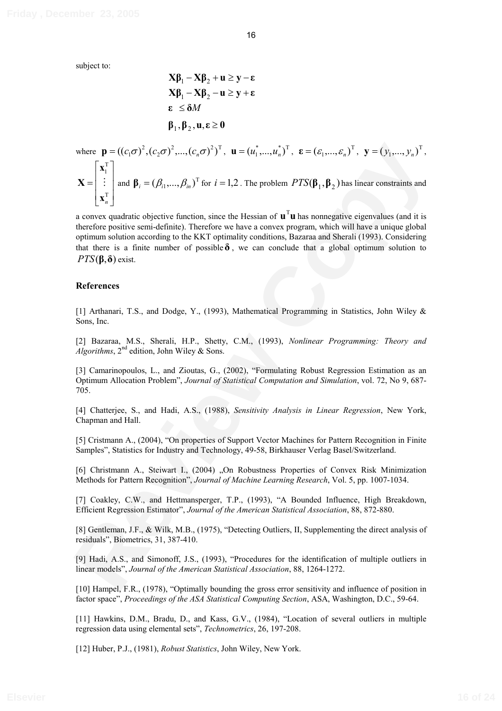subject to:

$$
X\beta_1 - X\beta_2 + u \ge y - \varepsilon
$$
  
\n
$$
X\beta_1 - X\beta_2 - u \ge y + \varepsilon
$$
  
\n
$$
\varepsilon \le \delta M
$$
  
\n
$$
\beta_1, \beta_2, u, \varepsilon \ge 0
$$

where **p** = 
$$
((c_i σ)^2, (c_2 σ)^2, ..., (c_n σ)^2)^T
$$
, **u** =  $(u_1^*, ..., u_n^*)^T$ , **ε** =  $(\varepsilon_1, ..., \varepsilon_n)^T$ , **y** =  $(y_1, ..., y_n)^T$ ,  
\n**X** =  $\begin{bmatrix} x_1^T \\ \vdots \\ x_n^T \end{bmatrix}$  and **β**<sub>*i*</sub> =  $(β_{i1}, ..., β_{in})^T$  for *i* = 1,2. The problem *PTS*(**β**<sub>1</sub>, **β**<sub>2</sub>) has linear constraints and  
\na convex quadratic objective function, since the Hessian of **u**<sup>T</sup>**u** has nonnegative eigenvalues (and it is  
\ntherefore positive semi-definite). Therefore we have a convex program, which will have a unique global  
\noptimum solution according to the KKT optimality conditions, Bazara and Sherali (1993). Considering  
\n*PTS*(**β**, **δ**) exist.  
\n**References**  
\n[1] Arthanari, T.S., and Dodge, Y., (1993), Mathematical Programming in Statistics, John Wiley &  
\nSons, Inc.  
\n[2] Bazara, M.S., Sherali, H.P., Shetty, C.M., (1993), *Nonlinear Programming: Theory and*  
\n*Algorithms*, 2<sup>nd</sup> edition, John Wiley &*Sn*  
\nSons, *L*<sub>1</sub>.  
\n[2] Bazara, M.S., Sherali, H.P., Shetty, C.M., (1993), *Nonlinear Programming: Theory and*  
\n*Algorithms*, 2<sup>nd</sup> edition, John Wiley &*Sn*  
\nSons, *L*<sub>2</sub>, and Zioutas, G., (2002), "Formulating Robust Regression Estimation as an  
\nOptimum Allocation Problem", *Journal of Statistical Computation and Simulation*, vol. 72, No 9, 687-  
\n705.  
\n[4] Chatterjee, S., and Hadi, A.S., (1988), *Sensitivity Analysis in Linear Regression*, New York,  
\nChapman and Hall.  
\n[5] Cristmann A., (2004), "On properties of Support Vector Machines for Pattern Recognition in Finite  
\nSambles", Satisfus for Industry", *Journal of the American Statistics of Conver*

a convex quadratic objective function, since the Hessian of  $\mathbf{u}^{\mathrm{T}}\mathbf{u}$  has nonnegative eigenvalues (and it is therefore positive semi-definite). Therefore we have a convex program, which will have a unique global optimum solution according to the KKT optimality conditions, Bazaraa and Sherali (1993). Considering that there is a finite number of possible  $\delta$ , we can conclude that a global optimum solution to  $PTS(\boldsymbol{\beta},\boldsymbol{\delta})$  exist.

### **References**

[1] Arthanari, T.S., and Dodge, Y., (1993), Mathematical Programming in Statistics, John Wiley & Sons, Inc.

[2] Bazaraa, M.S., Sherali, H.P., Shetty, C.M., (1993), *Nonlinear Programming: Theory and Algorithms*, 2nd edition, John Wiley & Sons.

[3] Camarinopoulos, L., and Zioutas, G., (2002), "Formulating Robust Regression Estimation as an Optimum Allocation Problem", *Journal of Statistical Computation and Simulation*, vol. 72, No 9, 687- 705.

[4] Chatterjee, S., and Hadi, A.S., (1988), *Sensitivity Analysis in Linear Regression*, New York, Chapman and Hall.

[5] Cristmann A., (2004), "On properties of Support Vector Machines for Pattern Recognition in Finite Samples", Statistics for Industry and Technology, 49-58, Birkhauser Verlag Basel/Switzerland.

[6] Christmann A., Steiwart I., (2004) "On Robustness Properties of Convex Risk Minimization Methods for Pattern Recognition", *Journal of Machine Learning Research*, Vol. 5, pp. 1007-1034.

[7] Coakley, C.W., and Hettmansperger, T.P., (1993), "A Bounded Influence, High Breakdown, Efficient Regression Estimator", *Journal of the American Statistical Association*, 88, 872-880.

[8] Gentleman, J.F., & Wilk, M.B., (1975), "Detecting Outliers, II, Supplementing the direct analysis of residuals", Biometrics, 31, 387-410.

[9] Hadi, A.S., and Simonoff, J.S., (1993), "Procedures for the identification of multiple outliers in linear models", *Journal of the American Statistical Association*, 88, 1264-1272.

[10] Hampel, F.R., (1978), "Optimally bounding the gross error sensitivity and influence of position in factor space", *Proceedings of the ASA Statistical Computing Section*, ASA, Washington, D.C., 59-64.

[11] Hawkins, D.M., Bradu, D., and Kass, G.V., (1984), "Location of several outliers in multiple regression data using elemental sets", *Technometrics*, 26, 197-208.

[12] Huber, P.J., (1981), *Robust Statistics*, John Wiley, New York.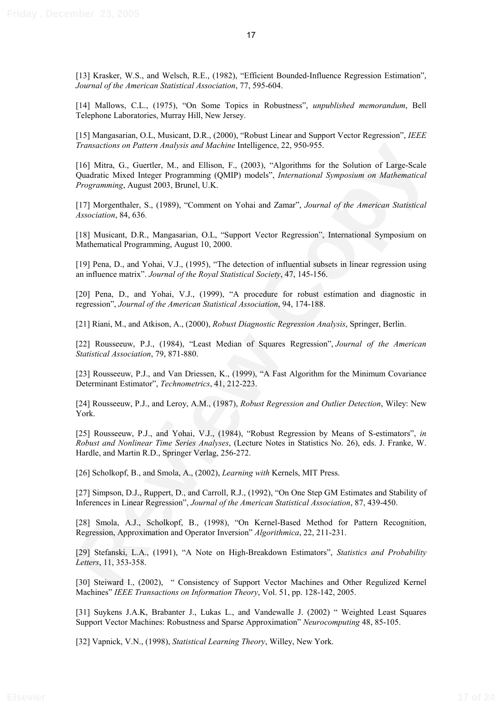[13] Krasker, W.S., and Welsch, R.E., (1982), "Efficient Bounded-Influence Regression Estimation", *Journal of the American Statistical Association*, 77, 595-604.

[14] Mallows, C.L., (1975), "On Some Topics in Robustness", *unpublished memorandum*, Bell Telephone Laboratories, Murray Hill, New Jersey.

[15] Mangasarian, O.L, Musicant, D.R., (2000), "Robust Linear and Support Vector Regression", *IEEE Transactions on Pattern Analysis and Machine* Intelligence, 22, 950-955.

Transactions on Pottern Analysis and Machine Intelligence, 22, 950-955.<br>
[16] Mirra, G., Greette, M., and Fillison, F., (2003), "Algorithms for the Solution of Large-Scale<br>
Onalctain Mixel Integral Programming (OMIP) model [16] Mitra, G., Guertler, M., and Ellison, F., (2003), "Algorithms for the Solution of Large-Scale Quadratic Mixed Integer Programming (QMIP) models", *International Symposium on Mathematical Programming*, August 2003, Brunel, U.K.

[17] Morgenthaler, S., (1989), "Comment on Yohai and Zamar", *Journal of the American Statistical Association*, 84, 636*.*

[18] Musicant, D.R., Mangasarian, O.L, "Support Vector Regression", International Symposium on Mathematical Programming, August 10, 2000.

[19] Pena, D., and Yohai, V.J., (1995), "The detection of influential subsets in linear regression using an influence matrix". *Journal of the Royal Statistical Society*, 47, 145-156.

[20] Pena, D., and Yohai, V.J., (1999), "A procedure for robust estimation and diagnostic in regression", *Journal of the American Statistical Association*, 94, 174-188.

[21] Riani, M., and Atkison, A., (2000), *Robust Diagnostic Regression Analysis*, Springer, Berlin.

[22] Rousseeuw, P.J., (1984), "Least Median of Squares Regression", *Journal of the American Statistical Association*, 79, 871-880.

[23] Rousseeuw, P.J., and Van Driessen, K., (1999), "A Fast Algorithm for the Minimum Covariance Determinant Estimator", *Technometrics*, 41, 212-223.

[24] Rousseeuw, P.J., and Leroy, A.M., (1987), *Robust Regression and Outlier Detection*, Wiley: New York.

[25] Rousseeuw, P.J., and Yohai, V.J., (1984), "Robust Regression by Means of S-estimators", *in Robust and Nonlinear Time Series Analyses*, (Lecture Notes in Statistics No. 26), eds. J. Franke, W. Hardle, and Martin R.D., Springer Verlag, 256-272.

[26] Scholkopf, B., and Smola, A., (2002), *Learning with* Kernels, MIT Press.

[27] Simpson, D.J., Ruppert, D., and Carroll, R.J., (1992), "On One Step GM Estimates and Stability of Inferences in Linear Regression", *Journal of the American Statistical Association*, 87, 439-450.

[28] Smola, A.J., Scholkopf, B., (1998), "On Kernel-Based Method for Pattern Recognition, Regression, Approximation and Operator Inversion" *Algorithmica*, 22, 211-231.

[29] Stefanski, L.A., (1991), "A Note on High-Breakdown Estimators", *Statistics and Probability Letters*, 11, 353-358.

[30] Steiward I., (2002), " Consistency of Support Vector Machines and Other Regulized Kernel Machines" *IEEE Transactions on Information Theory*, Vol. 51, pp. 128-142, 2005.

[31] Suykens J.A.K, Brabanter J., Lukas L., and Vandewalle J. (2002) " Weighted Least Squares Support Vector Machines: Robustness and Sparse Approximation" *Neurocomputing* 48, 85-105.

[32] Vapnick, V.N., (1998), *Statistical Learning Theory*, Willey, New York.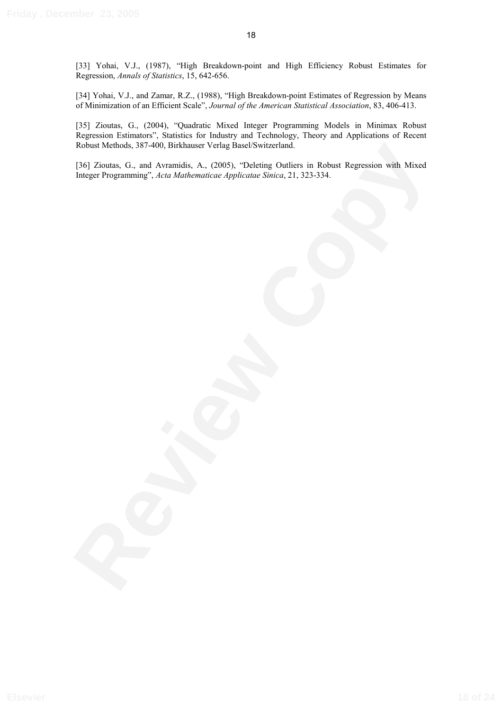[33] Yohai, V.J., (1987), "High Breakdown-point and High Efficiency Robust Estimates for Regression, *Annals of Statistics*, 15, 642-656.

[34] Yohai, V.J., and Zamar, R.Z., (1988), "High Breakdown-point Estimates of Regression by Means of Minimization of an Efficient Scale", *Journal of the American Statistical Association*, 83, 406-413.

[35] Zioutas, G., (2004), "Quadratic Mixed Integer Programming Models in Minimax Robust Regression Estimators", Statistics for Industry and Technology, Theory and Applications of Recent Robust Methods, 387-400, Birkhauser Verlag Basel/Switzerland.

[36] Zioutas, G., and Avramidis, A., (2005), "Deleting Outliers in Robust Regression with Mixed Integer Programming", *Acta Mathematicae Applicatae Sinica*, 21, 323-334.

Robust Mchods, 387-400, Pirkhauser Verlag Rasel Switzerland<br>
[36] Zioatas, G., and Avarantidis, A., (2005), "Deleting Ordišer is Robust Regression with Mixed<br>
Integer Programming", *Acta Mathomaticae: Applicature Sinica*: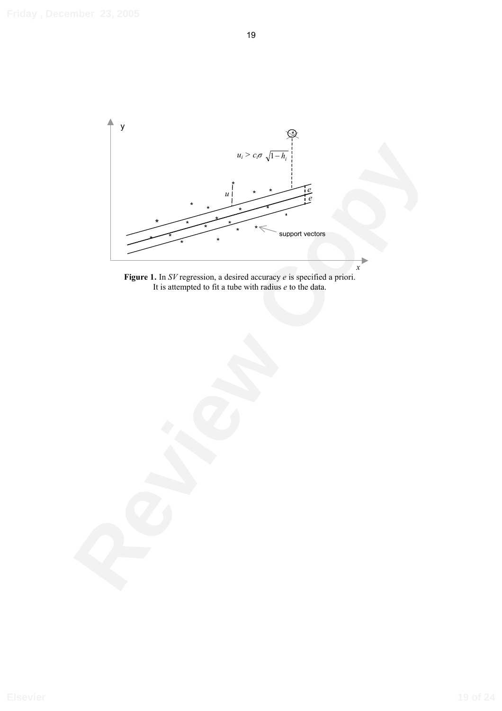

**Figure 1.** In *SV* regression, a desired accuracy *e* is specified a priori. It is attempted to fit a tube with radius *e* to the data.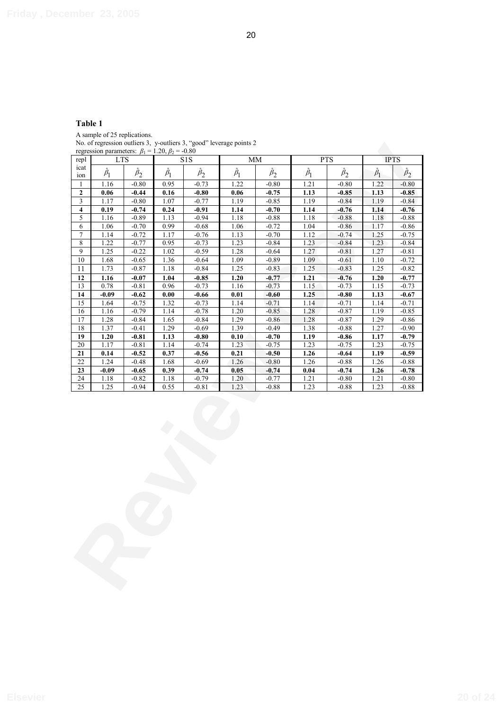# **Table 1**

A sample of 25 replications. No. of regression outliers 3, y-outliers 3, "good" leverage points 2 regression parameters:  $\beta_1 = 1.20, \beta_2 = -0.80$ 

| regression parameters: $\beta_1 = 1.20$ , $\beta_2 = -0.80$<br>repl<br><b>LTS</b><br><b>PTS</b><br><b>IPTS</b><br>S <sub>1</sub> S<br>$\mbox{MM}$<br>icat<br>$\hat{\beta}_1$<br>$\hat{\beta}_1$<br>$\hat{\beta}_1$<br>$\hat{\beta}_2$<br>$\hat{\beta}_1$<br>$\hat{\beta}_2$<br>$\hat{\beta}_2$<br>$\hat{\beta}_1$<br>$\hat{\beta}_2$<br>$\hat{\beta}_2$<br>ion<br>0.95<br>$-0.73$<br>1.22<br>$-0.80$<br>1.22<br>1.16<br>$-0.80$<br>$-0.80$<br>1.21<br>$-0.80$<br>$\mathbf{1}$<br>$\mathbf{2}$<br>$-0.80$<br>$-0.75$<br>$-0.85$<br>$-0.85$<br>0.06<br>$-0.44$<br>0.16<br>0.06<br>1.13<br>1.13<br>$\mathfrak{Z}$<br>1.17<br>$-0.80$<br>$-0.77$<br>1.19<br>$-0.84$<br>1.07<br>$-0.85$<br>1.19<br>1.19<br>$-0.84$<br>$\overline{\mathbf{4}}$<br>0.19<br>$-0.74$<br>0.24<br>1.14<br>$-0.70$<br>$-0.76$<br>$-0.76$<br>$-0.91$<br>1.14<br>1.14<br>5<br>$-0.88$<br>1.16<br>$-0.89$<br>1.13<br>$-0.94$<br>1.18<br>1.18<br>$-0.88$<br>1.18<br>$-0.88$<br>$\overline{6}$<br>$-0.86$<br>1.06<br>$-0.70$<br>0.99<br>$-0.68$<br>1.06<br>$-0.72$<br>1.04<br>1.17<br>$-0.86$<br>7<br>1.14<br>$-0.72$<br>$-0.76$<br>1.13<br>$-0.70$<br>1.12<br>$-0.74$<br>1.25<br>$-0.75$<br>1.17<br>$\overline{8}$<br>1.22<br>$-0.77$<br>0.95<br>$-0.73$<br>1.23<br>$-0.84$<br>1.23<br>$-0.84$<br>1.23<br>$-0.84$<br>9<br>1.25<br>$-0.22$<br>1.02<br>$-0.59$<br>1.28<br>$-0.64$<br>1.27<br>$-0.81$<br>1.27<br>$-0.81$<br>$-0.89$<br>1.09<br>$-0.61$<br>10<br>1.68<br>$-0.65$<br>1.36<br>$-0.64$<br>1.09<br>1.10<br>$-0.72$<br>1.73<br>$-0.84$<br>1.25<br>11<br>$-0.87$<br>1.18<br>$-0.83$<br>1.25<br>$-0.83$<br>1.25<br>$-0.82$<br>1.16<br>$-0.07$<br>1.04<br>$-0.85$<br>1.20<br>$-0.77$<br>1.21<br>$-0.76$<br>$-0.77$<br>12<br>1.20<br>0.78<br>$-0.81$<br>13<br>0.96<br>$-0.73$<br>1.16<br>$-0.73$<br>$-0.73$<br>1.15<br>$-0.73$<br>1.15<br>14<br>$-0.09$<br>1.25<br>$-0.80$<br>$-0.62$<br>0.00<br>$-0.66$<br>0.01<br>$-0.60$<br>1.13<br>$-0.67$<br>1.64<br>$-0.75$<br>1.32<br>$-0.73$<br>1.14<br>$-0.71$<br>1.14<br>$-0.71$<br>$-0.71$<br>15<br>1.14<br>16<br>1.16<br>$-0.79$<br>1.14<br>$-0.78$<br>1.20<br>$-0.85$<br>1.28<br>$-0.87$<br>1.19<br>$-0.85$<br>1.28<br>1.29<br>17<br>$-0.84$<br>1.65<br>$-0.84$<br>$-0.86$<br>1.28<br>$-0.87$<br>1.29<br>$-0.86$<br>1.37<br>$-0.41$<br>18<br>1.29<br>$-0.69$<br>1.39<br>$-0.49$<br>1.38<br>$-0.88$<br>1.27<br>$-0.90$<br>$1.20$<br>$-0.81$<br>1.13<br>$-0.80$<br>0.10<br>$-0.70$<br>1.19<br>$-0.86$<br>1.17<br>$-0.79$<br>19<br>1.23<br>$-0.75$<br>20<br>1.17<br>$-0.81$<br>1.14<br>$-0.74$<br>1.23<br>$-0.75$<br>1.23<br>$-0.75$<br>21<br>0.14<br>$-0.52$<br>0.37<br>0.21<br>$-0.50$<br>$-0.64$<br>1.19<br>$-0.59$<br>$-0.56$<br>1.26<br>1.24<br>22<br>$-0.48$<br>1.68<br>$-0.69$<br>1.26<br>$-0.80$<br>1.26<br>$-0.88$<br>1.26<br>$-0.88$<br>$-0.09$<br>$-0.65$<br>0.39<br>$-0.74$<br>0.05<br>$-0.74$<br>$-0.74$<br>$-0.78$<br>23<br>0.04<br>1.26<br>$\overline{24}$<br>1.18<br>$-0.82$<br>$-0.79$<br>1.20<br>$-0.77$<br>1.21<br>$-0.80$<br>1.21<br>$-0.80$<br>1.18<br>$\overline{25}$<br>1.25<br>1.23<br>1.23<br>$-0.94$<br>0.55<br>$-0.81$<br>$-0.88$<br>$-0.88$<br>1.23<br>$-0.88$ |
|---------------------------------------------------------------------------------------------------------------------------------------------------------------------------------------------------------------------------------------------------------------------------------------------------------------------------------------------------------------------------------------------------------------------------------------------------------------------------------------------------------------------------------------------------------------------------------------------------------------------------------------------------------------------------------------------------------------------------------------------------------------------------------------------------------------------------------------------------------------------------------------------------------------------------------------------------------------------------------------------------------------------------------------------------------------------------------------------------------------------------------------------------------------------------------------------------------------------------------------------------------------------------------------------------------------------------------------------------------------------------------------------------------------------------------------------------------------------------------------------------------------------------------------------------------------------------------------------------------------------------------------------------------------------------------------------------------------------------------------------------------------------------------------------------------------------------------------------------------------------------------------------------------------------------------------------------------------------------------------------------------------------------------------------------------------------------------------------------------------------------------------------------------------------------------------------------------------------------------------------------------------------------------------------------------------------------------------------------------------------------------------------------------------------------------------------------------------------------------------------------------------------------------------------------------------------------------------------------------------------------------------------------------------------------------------------------------------------------------------------------------------------------------------------------------------------------------------------------------------------------------------------------------------------------------------------------------------------------------------------------------------------------------------------------------------------------------------------------------|
|                                                                                                                                                                                                                                                                                                                                                                                                                                                                                                                                                                                                                                                                                                                                                                                                                                                                                                                                                                                                                                                                                                                                                                                                                                                                                                                                                                                                                                                                                                                                                                                                                                                                                                                                                                                                                                                                                                                                                                                                                                                                                                                                                                                                                                                                                                                                                                                                                                                                                                                                                                                                                                                                                                                                                                                                                                                                                                                                                                                                                                                                                                         |
|                                                                                                                                                                                                                                                                                                                                                                                                                                                                                                                                                                                                                                                                                                                                                                                                                                                                                                                                                                                                                                                                                                                                                                                                                                                                                                                                                                                                                                                                                                                                                                                                                                                                                                                                                                                                                                                                                                                                                                                                                                                                                                                                                                                                                                                                                                                                                                                                                                                                                                                                                                                                                                                                                                                                                                                                                                                                                                                                                                                                                                                                                                         |
|                                                                                                                                                                                                                                                                                                                                                                                                                                                                                                                                                                                                                                                                                                                                                                                                                                                                                                                                                                                                                                                                                                                                                                                                                                                                                                                                                                                                                                                                                                                                                                                                                                                                                                                                                                                                                                                                                                                                                                                                                                                                                                                                                                                                                                                                                                                                                                                                                                                                                                                                                                                                                                                                                                                                                                                                                                                                                                                                                                                                                                                                                                         |
|                                                                                                                                                                                                                                                                                                                                                                                                                                                                                                                                                                                                                                                                                                                                                                                                                                                                                                                                                                                                                                                                                                                                                                                                                                                                                                                                                                                                                                                                                                                                                                                                                                                                                                                                                                                                                                                                                                                                                                                                                                                                                                                                                                                                                                                                                                                                                                                                                                                                                                                                                                                                                                                                                                                                                                                                                                                                                                                                                                                                                                                                                                         |
|                                                                                                                                                                                                                                                                                                                                                                                                                                                                                                                                                                                                                                                                                                                                                                                                                                                                                                                                                                                                                                                                                                                                                                                                                                                                                                                                                                                                                                                                                                                                                                                                                                                                                                                                                                                                                                                                                                                                                                                                                                                                                                                                                                                                                                                                                                                                                                                                                                                                                                                                                                                                                                                                                                                                                                                                                                                                                                                                                                                                                                                                                                         |
|                                                                                                                                                                                                                                                                                                                                                                                                                                                                                                                                                                                                                                                                                                                                                                                                                                                                                                                                                                                                                                                                                                                                                                                                                                                                                                                                                                                                                                                                                                                                                                                                                                                                                                                                                                                                                                                                                                                                                                                                                                                                                                                                                                                                                                                                                                                                                                                                                                                                                                                                                                                                                                                                                                                                                                                                                                                                                                                                                                                                                                                                                                         |
|                                                                                                                                                                                                                                                                                                                                                                                                                                                                                                                                                                                                                                                                                                                                                                                                                                                                                                                                                                                                                                                                                                                                                                                                                                                                                                                                                                                                                                                                                                                                                                                                                                                                                                                                                                                                                                                                                                                                                                                                                                                                                                                                                                                                                                                                                                                                                                                                                                                                                                                                                                                                                                                                                                                                                                                                                                                                                                                                                                                                                                                                                                         |
|                                                                                                                                                                                                                                                                                                                                                                                                                                                                                                                                                                                                                                                                                                                                                                                                                                                                                                                                                                                                                                                                                                                                                                                                                                                                                                                                                                                                                                                                                                                                                                                                                                                                                                                                                                                                                                                                                                                                                                                                                                                                                                                                                                                                                                                                                                                                                                                                                                                                                                                                                                                                                                                                                                                                                                                                                                                                                                                                                                                                                                                                                                         |
|                                                                                                                                                                                                                                                                                                                                                                                                                                                                                                                                                                                                                                                                                                                                                                                                                                                                                                                                                                                                                                                                                                                                                                                                                                                                                                                                                                                                                                                                                                                                                                                                                                                                                                                                                                                                                                                                                                                                                                                                                                                                                                                                                                                                                                                                                                                                                                                                                                                                                                                                                                                                                                                                                                                                                                                                                                                                                                                                                                                                                                                                                                         |
|                                                                                                                                                                                                                                                                                                                                                                                                                                                                                                                                                                                                                                                                                                                                                                                                                                                                                                                                                                                                                                                                                                                                                                                                                                                                                                                                                                                                                                                                                                                                                                                                                                                                                                                                                                                                                                                                                                                                                                                                                                                                                                                                                                                                                                                                                                                                                                                                                                                                                                                                                                                                                                                                                                                                                                                                                                                                                                                                                                                                                                                                                                         |
|                                                                                                                                                                                                                                                                                                                                                                                                                                                                                                                                                                                                                                                                                                                                                                                                                                                                                                                                                                                                                                                                                                                                                                                                                                                                                                                                                                                                                                                                                                                                                                                                                                                                                                                                                                                                                                                                                                                                                                                                                                                                                                                                                                                                                                                                                                                                                                                                                                                                                                                                                                                                                                                                                                                                                                                                                                                                                                                                                                                                                                                                                                         |
|                                                                                                                                                                                                                                                                                                                                                                                                                                                                                                                                                                                                                                                                                                                                                                                                                                                                                                                                                                                                                                                                                                                                                                                                                                                                                                                                                                                                                                                                                                                                                                                                                                                                                                                                                                                                                                                                                                                                                                                                                                                                                                                                                                                                                                                                                                                                                                                                                                                                                                                                                                                                                                                                                                                                                                                                                                                                                                                                                                                                                                                                                                         |
|                                                                                                                                                                                                                                                                                                                                                                                                                                                                                                                                                                                                                                                                                                                                                                                                                                                                                                                                                                                                                                                                                                                                                                                                                                                                                                                                                                                                                                                                                                                                                                                                                                                                                                                                                                                                                                                                                                                                                                                                                                                                                                                                                                                                                                                                                                                                                                                                                                                                                                                                                                                                                                                                                                                                                                                                                                                                                                                                                                                                                                                                                                         |
|                                                                                                                                                                                                                                                                                                                                                                                                                                                                                                                                                                                                                                                                                                                                                                                                                                                                                                                                                                                                                                                                                                                                                                                                                                                                                                                                                                                                                                                                                                                                                                                                                                                                                                                                                                                                                                                                                                                                                                                                                                                                                                                                                                                                                                                                                                                                                                                                                                                                                                                                                                                                                                                                                                                                                                                                                                                                                                                                                                                                                                                                                                         |
|                                                                                                                                                                                                                                                                                                                                                                                                                                                                                                                                                                                                                                                                                                                                                                                                                                                                                                                                                                                                                                                                                                                                                                                                                                                                                                                                                                                                                                                                                                                                                                                                                                                                                                                                                                                                                                                                                                                                                                                                                                                                                                                                                                                                                                                                                                                                                                                                                                                                                                                                                                                                                                                                                                                                                                                                                                                                                                                                                                                                                                                                                                         |
|                                                                                                                                                                                                                                                                                                                                                                                                                                                                                                                                                                                                                                                                                                                                                                                                                                                                                                                                                                                                                                                                                                                                                                                                                                                                                                                                                                                                                                                                                                                                                                                                                                                                                                                                                                                                                                                                                                                                                                                                                                                                                                                                                                                                                                                                                                                                                                                                                                                                                                                                                                                                                                                                                                                                                                                                                                                                                                                                                                                                                                                                                                         |
|                                                                                                                                                                                                                                                                                                                                                                                                                                                                                                                                                                                                                                                                                                                                                                                                                                                                                                                                                                                                                                                                                                                                                                                                                                                                                                                                                                                                                                                                                                                                                                                                                                                                                                                                                                                                                                                                                                                                                                                                                                                                                                                                                                                                                                                                                                                                                                                                                                                                                                                                                                                                                                                                                                                                                                                                                                                                                                                                                                                                                                                                                                         |
|                                                                                                                                                                                                                                                                                                                                                                                                                                                                                                                                                                                                                                                                                                                                                                                                                                                                                                                                                                                                                                                                                                                                                                                                                                                                                                                                                                                                                                                                                                                                                                                                                                                                                                                                                                                                                                                                                                                                                                                                                                                                                                                                                                                                                                                                                                                                                                                                                                                                                                                                                                                                                                                                                                                                                                                                                                                                                                                                                                                                                                                                                                         |
|                                                                                                                                                                                                                                                                                                                                                                                                                                                                                                                                                                                                                                                                                                                                                                                                                                                                                                                                                                                                                                                                                                                                                                                                                                                                                                                                                                                                                                                                                                                                                                                                                                                                                                                                                                                                                                                                                                                                                                                                                                                                                                                                                                                                                                                                                                                                                                                                                                                                                                                                                                                                                                                                                                                                                                                                                                                                                                                                                                                                                                                                                                         |
|                                                                                                                                                                                                                                                                                                                                                                                                                                                                                                                                                                                                                                                                                                                                                                                                                                                                                                                                                                                                                                                                                                                                                                                                                                                                                                                                                                                                                                                                                                                                                                                                                                                                                                                                                                                                                                                                                                                                                                                                                                                                                                                                                                                                                                                                                                                                                                                                                                                                                                                                                                                                                                                                                                                                                                                                                                                                                                                                                                                                                                                                                                         |
|                                                                                                                                                                                                                                                                                                                                                                                                                                                                                                                                                                                                                                                                                                                                                                                                                                                                                                                                                                                                                                                                                                                                                                                                                                                                                                                                                                                                                                                                                                                                                                                                                                                                                                                                                                                                                                                                                                                                                                                                                                                                                                                                                                                                                                                                                                                                                                                                                                                                                                                                                                                                                                                                                                                                                                                                                                                                                                                                                                                                                                                                                                         |
|                                                                                                                                                                                                                                                                                                                                                                                                                                                                                                                                                                                                                                                                                                                                                                                                                                                                                                                                                                                                                                                                                                                                                                                                                                                                                                                                                                                                                                                                                                                                                                                                                                                                                                                                                                                                                                                                                                                                                                                                                                                                                                                                                                                                                                                                                                                                                                                                                                                                                                                                                                                                                                                                                                                                                                                                                                                                                                                                                                                                                                                                                                         |
|                                                                                                                                                                                                                                                                                                                                                                                                                                                                                                                                                                                                                                                                                                                                                                                                                                                                                                                                                                                                                                                                                                                                                                                                                                                                                                                                                                                                                                                                                                                                                                                                                                                                                                                                                                                                                                                                                                                                                                                                                                                                                                                                                                                                                                                                                                                                                                                                                                                                                                                                                                                                                                                                                                                                                                                                                                                                                                                                                                                                                                                                                                         |
|                                                                                                                                                                                                                                                                                                                                                                                                                                                                                                                                                                                                                                                                                                                                                                                                                                                                                                                                                                                                                                                                                                                                                                                                                                                                                                                                                                                                                                                                                                                                                                                                                                                                                                                                                                                                                                                                                                                                                                                                                                                                                                                                                                                                                                                                                                                                                                                                                                                                                                                                                                                                                                                                                                                                                                                                                                                                                                                                                                                                                                                                                                         |
|                                                                                                                                                                                                                                                                                                                                                                                                                                                                                                                                                                                                                                                                                                                                                                                                                                                                                                                                                                                                                                                                                                                                                                                                                                                                                                                                                                                                                                                                                                                                                                                                                                                                                                                                                                                                                                                                                                                                                                                                                                                                                                                                                                                                                                                                                                                                                                                                                                                                                                                                                                                                                                                                                                                                                                                                                                                                                                                                                                                                                                                                                                         |
|                                                                                                                                                                                                                                                                                                                                                                                                                                                                                                                                                                                                                                                                                                                                                                                                                                                                                                                                                                                                                                                                                                                                                                                                                                                                                                                                                                                                                                                                                                                                                                                                                                                                                                                                                                                                                                                                                                                                                                                                                                                                                                                                                                                                                                                                                                                                                                                                                                                                                                                                                                                                                                                                                                                                                                                                                                                                                                                                                                                                                                                                                                         |
|                                                                                                                                                                                                                                                                                                                                                                                                                                                                                                                                                                                                                                                                                                                                                                                                                                                                                                                                                                                                                                                                                                                                                                                                                                                                                                                                                                                                                                                                                                                                                                                                                                                                                                                                                                                                                                                                                                                                                                                                                                                                                                                                                                                                                                                                                                                                                                                                                                                                                                                                                                                                                                                                                                                                                                                                                                                                                                                                                                                                                                                                                                         |
|                                                                                                                                                                                                                                                                                                                                                                                                                                                                                                                                                                                                                                                                                                                                                                                                                                                                                                                                                                                                                                                                                                                                                                                                                                                                                                                                                                                                                                                                                                                                                                                                                                                                                                                                                                                                                                                                                                                                                                                                                                                                                                                                                                                                                                                                                                                                                                                                                                                                                                                                                                                                                                                                                                                                                                                                                                                                                                                                                                                                                                                                                                         |
|                                                                                                                                                                                                                                                                                                                                                                                                                                                                                                                                                                                                                                                                                                                                                                                                                                                                                                                                                                                                                                                                                                                                                                                                                                                                                                                                                                                                                                                                                                                                                                                                                                                                                                                                                                                                                                                                                                                                                                                                                                                                                                                                                                                                                                                                                                                                                                                                                                                                                                                                                                                                                                                                                                                                                                                                                                                                                                                                                                                                                                                                                                         |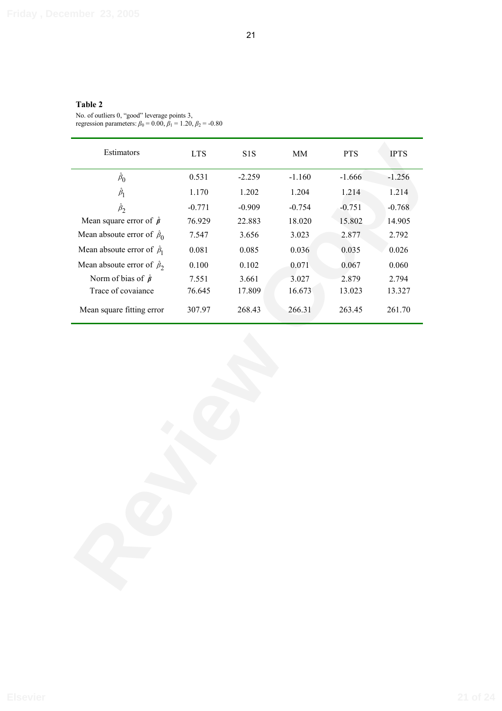# **Table 2**

No. of outliers 0, "good" leverage points 3, regression parameters:  $\beta_0 = 0.00, \beta_1 = 1.20, \beta_2 = -0.80$ 

| Estimators                            | <b>LTS</b> | S1S      | $\mathbf{M}\mathbf{M}$ | <b>PTS</b> | <b>IPTS</b> |
|---------------------------------------|------------|----------|------------------------|------------|-------------|
| $\hat{\beta}_0$                       | 0.531      | $-2.259$ | $-1.160$               | $-1.666$   | $-1.256$    |
| $\hat{\beta}_1$                       | 1.170      | 1.202    | 1.204                  | 1.214      | 1.214       |
| $\hat{\beta}_2$                       | $-0.771$   | $-0.909$ | $-0.754$               | $-0.751$   | $-0.768$    |
| Mean square error of $\hat{\beta}$    | 76.929     | 22.883   | 18.020                 | 15.802     | 14.905      |
| Mean absoute error of $\hat{\beta}_0$ | 7.547      | 3.656    | 3.023                  | 2.877      | 2.792       |
| Mean absoute error of $\hat{\beta}_1$ | 0.081      | 0.085    | 0.036                  | 0.035      | 0.026       |
| Mean absoute error of $\hat{\beta}_2$ | 0.100      | 0.102    | 0.071                  | 0.067      | 0.060       |
| Norm of bias of $\hat{\beta}$         | 7.551      | 3.661    | 3.027                  | 2.879      | 2.794       |
| Trace of covaiance                    | 76.645     | 17.809   | 16.673                 | 13.023     | 13.327      |
| Mean square fitting error             | 307.97     | 268.43   | 266.31                 | 263.45     | 261.70      |
|                                       |            |          |                        |            |             |
|                                       |            |          |                        |            |             |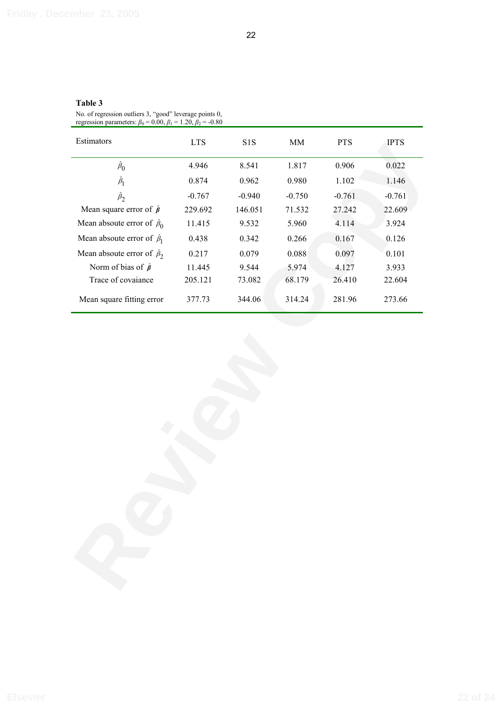No. of regression outliers 3, "good" leverage points 0, regression parameters:  $\beta_0 = 0.00, \beta_1 = 1.20, \beta_2 = -0.80$ 

| Estimators                            | $_{\rm LTS}$ | S <sub>1</sub> S | $\mathop{\rm MM}$ | <b>PTS</b> | <b>IPTS</b> |
|---------------------------------------|--------------|------------------|-------------------|------------|-------------|
| $\hat{\beta}_0$                       | 4.946        | 8.541            | 1.817             | 0.906      | 0.022       |
| $\hat{\beta}_1$                       | 0.874        | 0.962            | 0.980             | 1.102      | 1.146       |
| $\hat{\beta}_2$                       | $-0.767$     | $-0.940$         | $-0.750$          | $-0.761$   | $-0.761$    |
| Mean square error of $\hat{\beta}$    | 229.692      | 146.051          | 71.532            | 27.242     | 22.609      |
| Mean absoute error of $\hat{\beta}_0$ | 11.415       | 9.532            | 5.960             | 4.114      | 3.924       |
| Mean absoute error of $\hat{\beta}_1$ | 0.438        | 0.342            | 0.266             | 0.167      | 0.126       |
| Mean absoute error of $\hat{\beta}_2$ | 0.217        | 0.079            | 0.088             | 0.097      | 0.101       |
| Norm of bias of $\hat{\beta}$         | 11.445       | 9.544            | 5.974             | 4.127      | 3.933       |
| Trace of covaiance                    | 205.121      | 73.082           | 68.179            | 26.410     | 22.604      |
| Mean square fitting error             | 377.73       | 344.06           | 314.24            | 281.96     | 273.66      |
|                                       |              |                  |                   |            |             |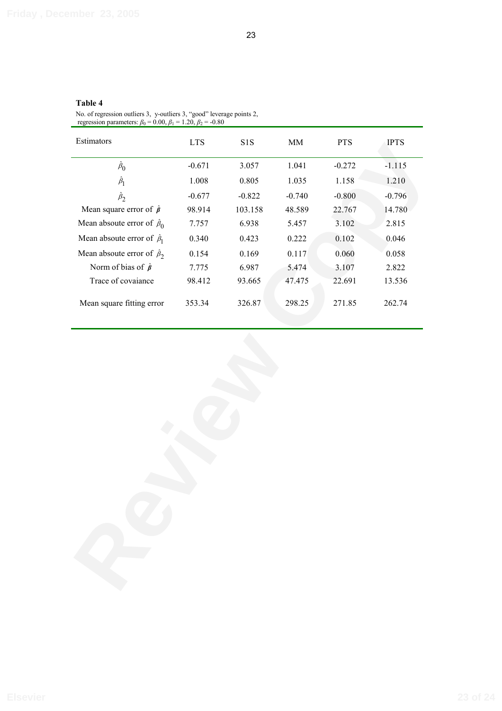# **Table 4**

No. of regression outliers 3, y-outliers 3, "good" leverage points 2, regression parameters:  $\beta_0 = 0.00$ ,  $\beta_1 = 1.20$ ,  $\beta_2 = -0.80$ 

| Estimators                            | <b>LTS</b> | S1S      | $\mathop{\rm MM}$ | <b>PTS</b> | <b>IPTS</b> |
|---------------------------------------|------------|----------|-------------------|------------|-------------|
| $\hat{\beta}_0$                       | $-0.671$   | 3.057    | 1.041             | $-0.272$   | $-1.115$    |
| $\hat{\beta}_1$                       | 1.008      | 0.805    | 1.035             | 1.158      | 1.210       |
| $\hat{\beta}_2$                       | $-0.677$   | $-0.822$ | $-0.740$          | $-0.800$   | $-0.796$    |
| Mean square error of $\hat{\beta}$    | 98.914     | 103.158  | 48.589            | 22.767     | 14.780      |
| Mean absoute error of $\hat{\beta}_0$ | 7.757      | 6.938    | 5.457             | 3.102      | 2.815       |
| Mean absoute error of $\hat{\beta}_1$ | 0.340      | 0.423    | 0.222             | 0.102      | 0.046       |
| Mean absoute error of $\hat{\beta}_2$ | 0.154      | 0.169    | 0.117             | 0.060      | 0.058       |
| Norm of bias of $\hat{\beta}$         | 7.775      | 6.987    | 5.474             | 3.107      | 2.822       |
| Trace of covaiance                    | 98.412     | 93.665   | 47.475            | 22.691     | 13.536      |
| Mean square fitting error             | 353.34     | 326.87   | 298.25            | 271.85     | 262.74      |
|                                       |            |          |                   |            |             |
|                                       |            |          |                   |            |             |